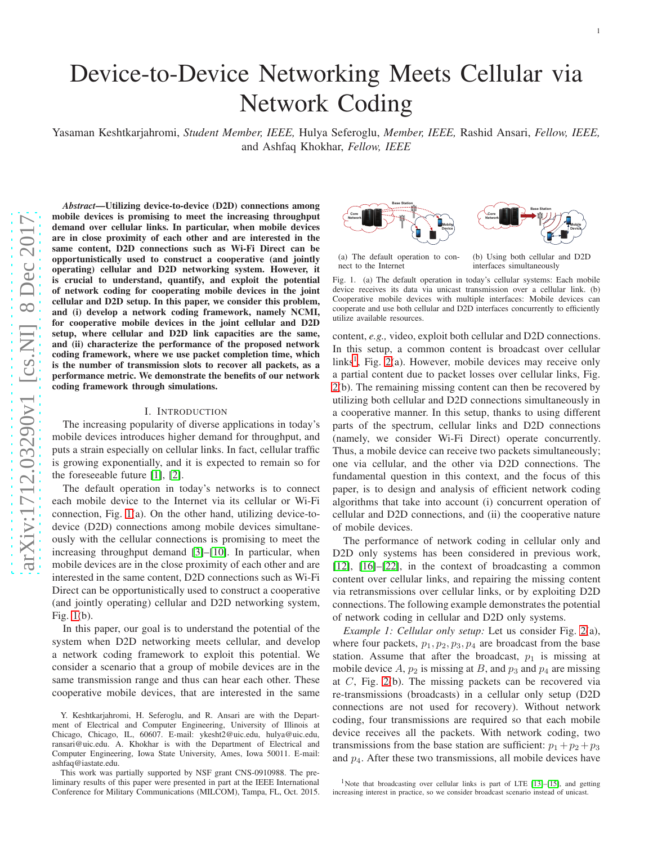# Device-to-Device Networking Meets Cellular via Network Coding

Yasaman Keshtkarjahromi, *Student Member, IEEE,* Hulya Seferoglu, *Member, IEEE,* Rashid Ansari, *Fellow, IEEE,* and Ashfaq Khokhar, *Fellow, IEEE*

*Abstract*—Utilizing device-to-device (D2D) connections among mobile devices is promising to meet the increasing throughput demand over cellular links. In particular, when mobile devices are in close proximity of each other and are interested in the same content, D2D connections such as Wi-Fi Direct can be opportunistically used to construct a cooperative (and jointly operating) cellular and D2D networking system. However, it is crucial to understand, quantify, and exploit the potential of network coding for cooperating mobile devices in the join t cellular and D2D setup. In this paper, we consider this problem, and (i) develop a network coding framework, namely NCMI, for cooperative mobile devices in the joint cellular and D2D setup, where cellular and D2D link capacities are the same, and (ii) characterize the performance of the proposed network coding framework, where we use packet completion time, whic h is the number of transmission slots to recover all packets, as a performance metric. We demonstrate the benefits of our network coding framework through simulations.

#### I. INTRODUCTION

The increasing popularity of diverse applications in today's mobile devices introduces higher demand for throughput, an d puts a strain especially on cellular links. In fact, cellular traffic is growing exponentially, and it is expected to remain so for the foreseeable future [\[1\]](#page-14-0), [\[2\]](#page-14-1).

The default operation in today's networks is to connect each mobile device to the Internet via its cellular or Wi-Fi connection, Fig. [1\(](#page-0-0)a). On the other hand, utilizing device-todevice (D2D) connections among mobile devices simultaneously with the cellular connections is promising to meet the increasing throughput demand [\[3\]](#page-14-2)–[\[10\]](#page-14-3). In particular, whe n mobile devices are in the close proximity of each other and ar e interested in the same content, D2D connections such as Wi-F i Direct can be opportunistically used to construct a cooperative (and jointly operating) cellular and D2D networking system , Fig. [1\(](#page-0-0)b).

In this paper, our goal is to understand the potential of the system when D2D networking meets cellular, and develop a network coding framework to exploit this potential. We consider a scenario that a group of mobile devices are in the same transmission range and thus can hear each other. These cooperative mobile devices, that are interested in the same



(a) The default operation to connect to the Internet

(b) Using both cellular and D2D interfaces simultaneously

<span id="page-0-0"></span>Fig. 1. (a) The default operation in today's cellular systems: Each mobile device receives its data via unicast transmission over a cellular link. (b) Cooperative mobile devices with multiple interfaces: Mobile devices can cooperate and use both cellular and D2D interfaces concurrently to efficiently utilize available resources.

content, *e.g.,* video, exploit both cellular and D2D connections. In this setup, a common content is broadcast over cellular links<sup>[1](#page-0-1)</sup>, Fig. [2\(](#page-1-0)a). However, mobile devices may receive only a partial content due to packet losses over cellular links, Fig. [2\(](#page-1-0)b). The remaining missing content can then be recovered by utilizing both cellular and D2D connections simultaneously in a cooperative manner. In this setup, thanks to using different parts of the spectrum, cellular links and D2D connections (namely, we consider Wi-Fi Direct) operate concurrently. Thus, a mobile device can receive two packets simultaneously; one via cellular, and the other via D2D connections. The fundamental question in this context, and the focus of this paper, is to design and analysis of efficient network coding algorithms that take into account (i) concurrent operation of cellular and D2D connections, and (ii) the cooperative nature of mobile devices.

The performance of network coding in cellular only and D<sub>2</sub>D only systems has been considered in previous work, [\[12\]](#page-14-4), [\[16\]](#page-14-5)–[\[22\]](#page-14-6), in the context of broadcasting a common content over cellular links, and repairing the missing content via retransmissions over cellular links, or by exploiting D2D connections. The following example demonstrates the potential of network coding in cellular and D2D only systems.

<span id="page-0-2"></span>*Example 1: Cellular only setup:* Let us consider Fig. [2\(](#page-1-0)a), where four packets,  $p_1, p_2, p_3, p_4$  are broadcast from the base station. Assume that after the broadcast,  $p_1$  is missing at mobile device  $A$ ,  $p_2$  is missing at  $B$ , and  $p_3$  and  $p_4$  are missing at C, Fig. [2\(](#page-1-0)b). The missing packets can be recovered via re-transmissions (broadcasts) in a cellular only setup (D2 D connections are not used for recovery). Without network coding, four transmissions are required so that each mobile device receives all the packets. With network coding, two transmissions from the base station are sufficient:  $p_1 + p_2 + p_3$ and p <sup>4</sup>. After these two transmissions, all mobile devices have

Y. Keshtkarjahromi, H. Seferoglu, and R. Ansari are with the Department of Electrical and Computer Engineering, University of Illinois at Chicago, Chicago, IL, 60607. E-mail: ykesht2@uic.edu, hulya@uic.edu, ransari@uic.edu. A. Khokhar is with the Department of Electrical and Computer Engineering, Iowa State University, Ames, Iowa 50011. E-mail: ashfaq@iastate.edu.

This work was partially supported by NSF grant CNS-0910988. The preliminary results of this paper were presented in part at the IEEE International Conference for Military Communications (MILCOM), Tampa, FL, Oct. 2015.

<span id="page-0-1"></span><sup>&</sup>lt;sup>1</sup>Note that broadcasting over cellular links is part of LTE [\[13\]](#page-14-7)–[\[15\]](#page-14-8), and getting increasing interest in practice, so we consider broadcast scenario instead of unicast.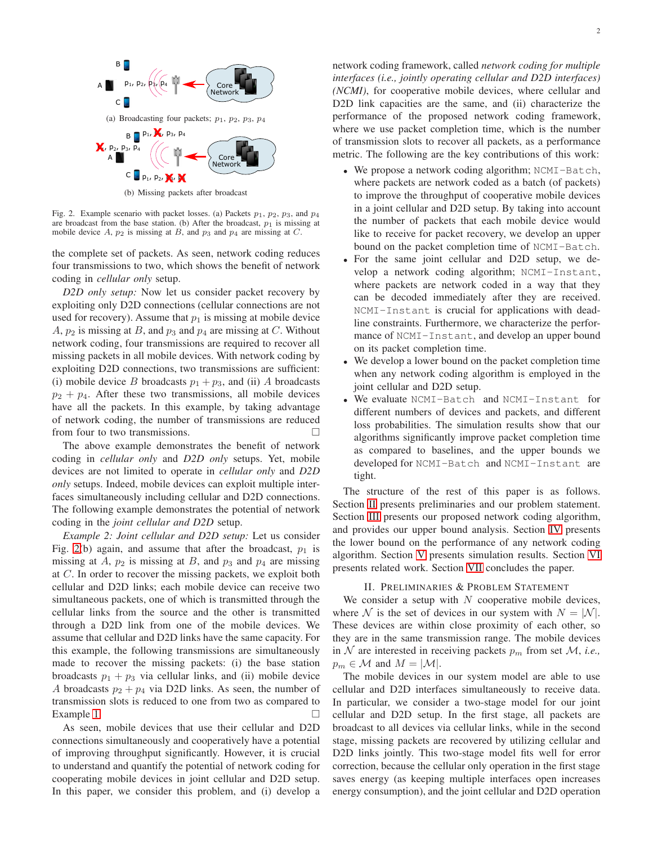

(b) Missing packets after broadcast

<span id="page-1-0"></span>Fig. 2. Example scenario with packet losses. (a) Packets  $p_1$ ,  $p_2$ ,  $p_3$ , and  $p_4$ are broadcast from the base station. (b) After the broadcast,  $p_1$  is missing at mobile device  $A$ ,  $p_2$  is missing at  $B$ , and  $p_3$  and  $p_4$  are missing at  $C$ .

the complete set of packets. As seen, network coding reduces four transmissions to two, which shows the benefit of network coding in *cellular only* setup.

*D2D only setup:* Now let us consider packet recovery by exploiting only D2D connections (cellular connections are not used for recovery). Assume that  $p_1$  is missing at mobile device A,  $p_2$  is missing at B, and  $p_3$  and  $p_4$  are missing at C. Without network coding, four transmissions are required to recover all missing packets in all mobile devices. With network coding by exploiting D2D connections, two transmissions are sufficient: (i) mobile device B broadcasts  $p_1 + p_3$ , and (ii) A broadcasts  $p_2 + p_4$ . After these two transmissions, all mobile devices have all the packets. In this example, by taking advantage of network coding, the number of transmissions are reduced from four to two transmissions.

The above example demonstrates the benefit of network coding in *cellular only* and *D2D only* setups. Yet, mobile devices are not limited to operate in *cellular only* and *D2D only* setups. Indeed, mobile devices can exploit multiple interfaces simultaneously including cellular and D2D connections. The following example demonstrates the potential of network coding in the *joint cellular and D2D* setup.

*Example 2: Joint cellular and D2D setup:* Let us consider Fig. [2\(](#page-1-0)b) again, and assume that after the broadcast,  $p_1$  is missing at A,  $p_2$  is missing at B, and  $p_3$  and  $p_4$  are missing at C. In order to recover the missing packets, we exploit both cellular and D2D links; each mobile device can receive two simultaneous packets, one of which is transmitted through the cellular links from the source and the other is transmitted through a D2D link from one of the mobile devices. We assume that cellular and D2D links have the same capacity. For this example, the following transmissions are simultaneously made to recover the missing packets: (i) the base station broadcasts  $p_1 + p_3$  via cellular links, and (ii) mobile device A broadcasts  $p_2 + p_4$  via D2D links. As seen, the number of transmission slots is reduced to one from two as compared to Example [1.](#page-0-2)

As seen, mobile devices that use their cellular and D2D connections simultaneously and cooperatively have a potential of improving throughput significantly. However, it is crucial to understand and quantify the potential of network coding for cooperating mobile devices in joint cellular and D2D setup. In this paper, we consider this problem, and (i) develop a network coding framework, called *network coding for multiple interfaces (i.e., jointly operating cellular and D2D interfaces) (NCMI)*, for cooperative mobile devices, where cellular and D2D link capacities are the same, and (ii) characterize the performance of the proposed network coding framework, where we use packet completion time, which is the number of transmission slots to recover all packets, as a performance metric. The following are the key contributions of this work:

- We propose a network coding algorithm; NCMI-Batch, where packets are network coded as a batch (of packets) to improve the throughput of cooperative mobile devices in a joint cellular and D2D setup. By taking into account the number of packets that each mobile device would like to receive for packet recovery, we develop an upper bound on the packet completion time of NCMI-Batch.
- For the same joint cellular and D2D setup, we develop a network coding algorithm; NCMI-Instant, where packets are network coded in a way that they can be decoded immediately after they are received. NCMI-Instant is crucial for applications with deadline constraints. Furthermore, we characterize the performance of NCMI-Instant, and develop an upper bound on its packet completion time.
- We develop a lower bound on the packet completion time when any network coding algorithm is employed in the joint cellular and D2D setup.
- We evaluate NCMI-Batch and NCMI-Instant for different numbers of devices and packets, and different loss probabilities. The simulation results show that our algorithms significantly improve packet completion time as compared to baselines, and the upper bounds we developed for NCMI-Batch and NCMI-Instant are tight.

The structure of the rest of this paper is as follows. Section [II](#page-1-1) presents preliminaries and our problem statement. Section [III](#page-2-0) presents our proposed network coding algorithm, and provides our upper bound analysis. Section [IV](#page-10-0) presents the lower bound on the performance of any network coding algorithm. Section [V](#page-10-1) presents simulation results. Section [VI](#page-13-0) presents related work. Section [VII](#page-14-9) concludes the paper.

#### II. PRELIMINARIES & PROBLEM STATEMENT

<span id="page-1-1"></span>We consider a setup with  $N$  cooperative mobile devices, where N is the set of devices in our system with  $N = |N|$ . These devices are within close proximity of each other, so they are in the same transmission range. The mobile devices in  $N$  are interested in receiving packets  $p_m$  from set  $M$ , *i.e.*,  $p_m \in \mathcal{M}$  and  $M = |\mathcal{M}|$ .

The mobile devices in our system model are able to use cellular and D2D interfaces simultaneously to receive data. In particular, we consider a two-stage model for our joint cellular and D2D setup. In the first stage, all packets are broadcast to all devices via cellular links, while in the second stage, missing packets are recovered by utilizing cellular and D2D links jointly. This two-stage model fits well for error correction, because the cellular only operation in the first stage saves energy (as keeping multiple interfaces open increases energy consumption), and the joint cellular and D2D operation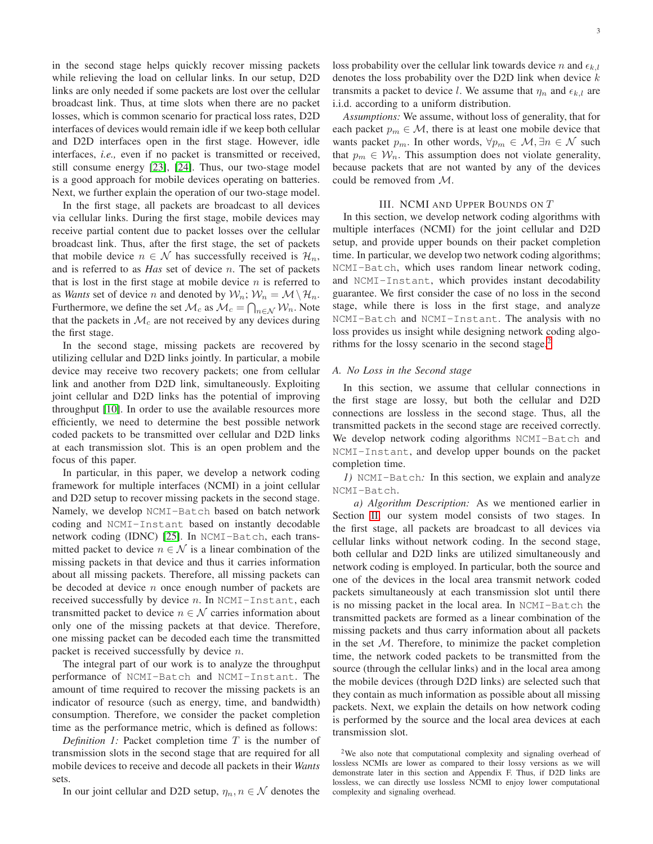in the second stage helps quickly recover missing packets while relieving the load on cellular links. In our setup, D2D links are only needed if some packets are lost over the cellular broadcast link. Thus, at time slots when there are no packet losses, which is common scenario for practical loss rates, D2D interfaces of devices would remain idle if we keep both cellular and D2D interfaces open in the first stage. However, idle interfaces, *i.e.,* even if no packet is transmitted or received, still consume energy [\[23\]](#page-14-10), [\[24\]](#page-14-11). Thus, our two-stage model is a good approach for mobile devices operating on batteries. Next, we further explain the operation of our two-stage model.

In the first stage, all packets are broadcast to all devices via cellular links. During the first stage, mobile devices may receive partial content due to packet losses over the cellular broadcast link. Thus, after the first stage, the set of packets that mobile device  $n \in \mathcal{N}$  has successfully received is  $\mathcal{H}_n$ , and is referred to as *Has* set of device n. The set of packets that is lost in the first stage at mobile device  $n$  is referred to as *Wants* set of device *n* and denoted by  $W_n$ ;  $W_n = M \setminus \mathcal{H}_n$ . Furthermore, we define the set  $\mathcal{M}_c$  as  $\mathcal{M}_c = \bigcap_{n \in \mathcal{N}} \mathcal{W}_n$ . Note that the packets in  $\mathcal{M}_c$  are not received by any devices during the first stage.

In the second stage, missing packets are recovered by utilizing cellular and D2D links jointly. In particular, a mobile device may receive two recovery packets; one from cellular link and another from D2D link, simultaneously. Exploiting joint cellular and D2D links has the potential of improving throughput [\[10\]](#page-14-3). In order to use the available resources more efficiently, we need to determine the best possible network coded packets to be transmitted over cellular and D2D links at each transmission slot. This is an open problem and the focus of this paper.

In particular, in this paper, we develop a network coding framework for multiple interfaces (NCMI) in a joint cellular and D2D setup to recover missing packets in the second stage. Namely, we develop NCMI-Batch based on batch network coding and NCMI-Instant based on instantly decodable network coding (IDNC) [\[25\]](#page-14-12). In NCMI-Batch, each transmitted packet to device  $n \in \mathcal{N}$  is a linear combination of the missing packets in that device and thus it carries information about all missing packets. Therefore, all missing packets can be decoded at device  $n$  once enough number of packets are received successfully by device  $n$ . In NCMI-Instant, each transmitted packet to device  $n \in \mathcal{N}$  carries information about only one of the missing packets at that device. Therefore, one missing packet can be decoded each time the transmitted packet is received successfully by device n.

The integral part of our work is to analyze the throughput performance of NCMI-Batch and NCMI-Instant. The amount of time required to recover the missing packets is an indicator of resource (such as energy, time, and bandwidth) consumption. Therefore, we consider the packet completion time as the performance metric, which is defined as follows:

*Definition 1:* Packet completion time T is the number of transmission slots in the second stage that are required for all mobile devices to receive and decode all packets in their *Wants* sets.

In our joint cellular and D2D setup,  $\eta_n, n \in \mathcal{N}$  denotes the

loss probability over the cellular link towards device n and  $\epsilon_{k,l}$ denotes the loss probability over the D2D link when device  $k$ transmits a packet to device l. We assume that  $\eta_n$  and  $\epsilon_{k,l}$  are i.i.d. according to a uniform distribution.

*Assumptions:* We assume, without loss of generality, that for each packet  $p_m \in \mathcal{M}$ , there is at least one mobile device that wants packet  $p_m$ . In other words,  $\forall p_m \in \mathcal{M}, \exists n \in \mathcal{N}$  such that  $p_m \in \mathcal{W}_n$ . This assumption does not violate generality, because packets that are not wanted by any of the devices could be removed from M.

#### III. NCMI AND UPPER BOUNDS ON T

<span id="page-2-0"></span>In this section, we develop network coding algorithms with multiple interfaces (NCMI) for the joint cellular and D2D setup, and provide upper bounds on their packet completion time. In particular, we develop two network coding algorithms; NCMI-Batch, which uses random linear network coding, and NCMI-Instant, which provides instant decodability guarantee. We first consider the case of no loss in the second stage, while there is loss in the first stage, and analyze NCMI-Batch and NCMI-Instant. The analysis with no loss provides us insight while designing network coding algorithms for the lossy scenario in the second stage. $<sup>2</sup>$  $<sup>2</sup>$  $<sup>2</sup>$ </sup>

#### *A. No Loss in the Second stage*

In this section, we assume that cellular connections in the first stage are lossy, but both the cellular and D2D connections are lossless in the second stage. Thus, all the transmitted packets in the second stage are received correctly. We develop network coding algorithms NCMI-Batch and NCMI-Instant, and develop upper bounds on the packet completion time.

<span id="page-2-2"></span>*1)* NCMI-Batch*:* In this section, we explain and analyze NCMI-Batch.

*a) Algorithm Description:* As we mentioned earlier in Section [II,](#page-1-1) our system model consists of two stages. In the first stage, all packets are broadcast to all devices via cellular links without network coding. In the second stage, both cellular and D2D links are utilized simultaneously and network coding is employed. In particular, both the source and one of the devices in the local area transmit network coded packets simultaneously at each transmission slot until there is no missing packet in the local area. In NCMI-Batch the transmitted packets are formed as a linear combination of the missing packets and thus carry information about all packets in the set  $M$ . Therefore, to minimize the packet completion time, the network coded packets to be transmitted from the source (through the cellular links) and in the local area among the mobile devices (through D2D links) are selected such that they contain as much information as possible about all missing packets. Next, we explain the details on how network coding is performed by the source and the local area devices at each transmission slot.

<span id="page-2-1"></span><sup>2</sup>We also note that computational complexity and signaling overhead of lossless NCMIs are lower as compared to their lossy versions as we will demonstrate later in this section and Appendix F. Thus, if D2D links are lossless, we can directly use lossless NCMI to enjoy lower computational complexity and signaling overhead.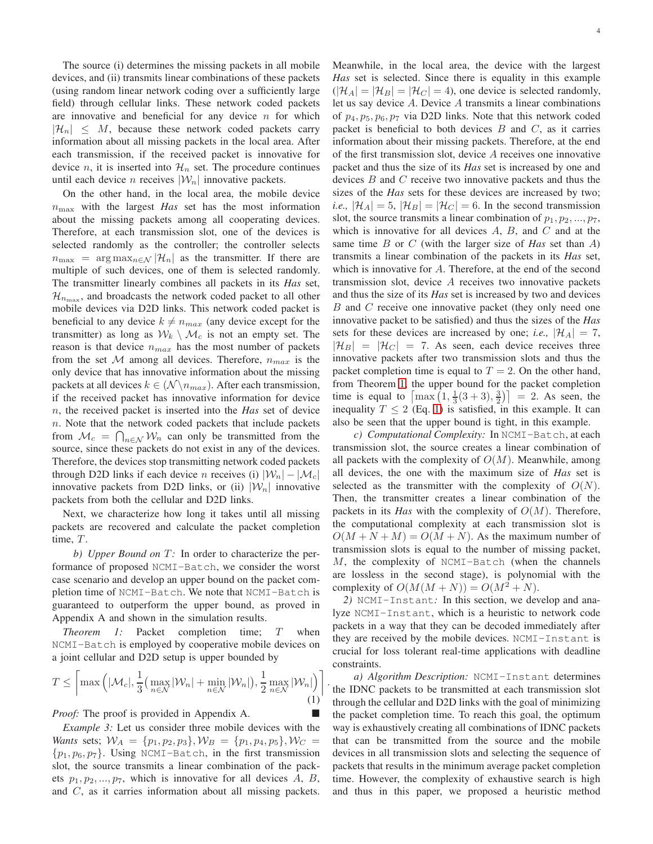The source (i) determines the missing packets in all mobile devices, and (ii) transmits linear combinations of these packets (using random linear network coding over a sufficiently large field) through cellular links. These network coded packets are innovative and beneficial for any device  $n$  for which  $|\mathcal{H}_n| \leq M$ , because these network coded packets carry information about all missing packets in the local area. After each transmission, if the received packet is innovative for device n, it is inserted into  $\mathcal{H}_n$  set. The procedure continues until each device *n* receives  $|\mathcal{W}_n|$  innovative packets.

On the other hand, in the local area, the mobile device  $n_{\text{max}}$  with the largest *Has* set has the most information about the missing packets among all cooperating devices. Therefore, at each transmission slot, one of the devices is selected randomly as the controller; the controller selects  $n_{\text{max}} = \arg \max_{n \in \mathcal{N}} |\mathcal{H}_n|$  as the transmitter. If there are multiple of such devices, one of them is selected randomly. The transmitter linearly combines all packets in its *Has* set,  $\mathcal{H}_{n_{\max}}$ , and broadcasts the network coded packet to all other mobile devices via D2D links. This network coded packet is beneficial to any device  $k \neq n_{max}$  (any device except for the transmitter) as long as  $W_k \setminus M_c$  is not an empty set. The reason is that device  $n_{max}$  has the most number of packets from the set M among all devices. Therefore,  $n_{max}$  is the only device that has innovative information about the missing packets at all devices  $k \in (\mathcal{N} \setminus n_{max})$ . After each transmission, if the received packet has innovative information for device n, the received packet is inserted into the *Has* set of device  $n.$  Note that the network coded packets that include packets from  $\mathcal{M}_c = \bigcap_{n \in \mathcal{N}} \mathcal{W}_n$  can only be transmitted from the source, since these packets do not exist in any of the devices. Therefore, the devices stop transmitting network coded packets through D2D links if each device n receives (i)  $|\mathcal{W}_n| - |\mathcal{M}_c|$ innovative packets from D2D links, or (ii)  $|\mathcal{W}_n|$  innovative packets from both the cellular and D2D links.

Next, we characterize how long it takes until all missing packets are recovered and calculate the packet completion time,  $T$ .

*b)* Upper Bound on T: In order to characterize the performance of proposed NCMI-Batch, we consider the worst case scenario and develop an upper bound on the packet completion time of NCMI-Batch. We note that NCMI-Batch is guaranteed to outperform the upper bound, as proved in Appendix A and shown in the simulation results.

*Theorem 1:* Packet completion time; T when NCMI-Batch is employed by cooperative mobile devices on a joint cellular and D2D setup is upper bounded by

<span id="page-3-1"></span>
$$
T \leq \left[ \max \left( \left| \mathcal{M}_c \right|, \frac{1}{3} \left( \max_{n \in \mathcal{N}} |\mathcal{W}_n| + \min_{n \in \mathcal{N}} |\mathcal{W}_n| \right), \frac{1}{2} \max_{n \in \mathcal{N}} |\mathcal{W}_n| \right) \right]
$$
(1)

.

*Proof:* The proof is provided in Appendix A.

*Example 3:* Let us consider three mobile devices with the *Wants* sets;  $W_A = \{p_1, p_2, p_3\}, W_B = \{p_1, p_4, p_5\}, W_C =$  $\{p_1, p_6, p_7\}$ . Using NCMI-Batch, in the first transmission slot, the source transmits a linear combination of the packets  $p_1, p_2, ..., p_7$ , which is innovative for all devices A, B, and C, as it carries information about all missing packets. Meanwhile, in the local area, the device with the largest *Has* set is selected. Since there is equality in this example  $(|\mathcal{H}_A| = |\mathcal{H}_B| = |\mathcal{H}_C| = 4$ ), one device is selected randomly, let us say device A. Device A transmits a linear combinations of  $p_4, p_5, p_6, p_7$  via D2D links. Note that this network coded packet is beneficial to both devices  $B$  and  $C$ , as it carries information about their missing packets. Therefore, at the end of the first transmission slot, device A receives one innovative packet and thus the size of its *Has* set is increased by one and devices B and C receive two innovative packets and thus the sizes of the *Has* sets for these devices are increased by two; *i.e.*,  $|\mathcal{H}_A| = 5$ ,  $|\mathcal{H}_B| = |\mathcal{H}_C| = 6$ . In the second transmission slot, the source transmits a linear combination of  $p_1, p_2, ..., p_7$ , which is innovative for all devices  $A$ ,  $B$ , and  $C$  and at the same time B or C (with the larger size of *Has* set than A) transmits a linear combination of the packets in its *Has* set, which is innovative for A. Therefore, at the end of the second transmission slot, device A receives two innovative packets and thus the size of its *Has* set is increased by two and devices B and C receive one innovative packet (they only need one innovative packet to be satisfied) and thus the sizes of the *Has* sets for these devices are increased by one; *i.e.*,  $|\mathcal{H}_A| = 7$ ,  $|\mathcal{H}_B| = |\mathcal{H}_C| = 7$ . As seen, each device receives three innovative packets after two transmission slots and thus the packet completion time is equal to  $T = 2$ . On the other hand, from Theorem [1,](#page-3-0) the upper bound for the packet completion time is equal to  $\left[ \max(1, \frac{1}{3}(3+3), \frac{3}{2}) \right] = 2$ . As seen, the inequality  $T \leq 2$  (Eq. [1\)](#page-3-1) is satisfied, in this example. It can also be seen that the upper bound is tight, in this example.

*c) Computational Complexity:* In NCMI-Batch, at each transmission slot, the source creates a linear combination of all packets with the complexity of  $O(M)$ . Meanwhile, among all devices, the one with the maximum size of *Has* set is selected as the transmitter with the complexity of  $O(N)$ . Then, the transmitter creates a linear combination of the packets in its *Has* with the complexity of  $O(M)$ . Therefore, the computational complexity at each transmission slot is  $O(M + N + M) = O(M + N)$ . As the maximum number of transmission slots is equal to the number of missing packet,  $M$ , the complexity of NCMI-Batch (when the channels are lossless in the second stage), is polynomial with the complexity of  $O(M(M+N)) = O(M^2+N)$ .

<span id="page-3-2"></span><span id="page-3-0"></span>*2)* NCMI-Instant*:* In this section, we develop and analyze NCMI-Instant, which is a heuristic to network code packets in a way that they can be decoded immediately after they are received by the mobile devices. NCMI-Instant is crucial for loss tolerant real-time applications with deadline constraints.

<span id="page-3-3"></span>*a) Algorithm Description:* NCMI-Instant determines the IDNC packets to be transmitted at each transmission slot through the cellular and D2D links with the goal of minimizing the packet completion time. To reach this goal, the optimum way is exhaustively creating all combinations of IDNC packets that can be transmitted from the source and the mobile devices in all transmission slots and selecting the sequence of packets that results in the minimum average packet completion time. However, the complexity of exhaustive search is high and thus in this paper, we proposed a heuristic method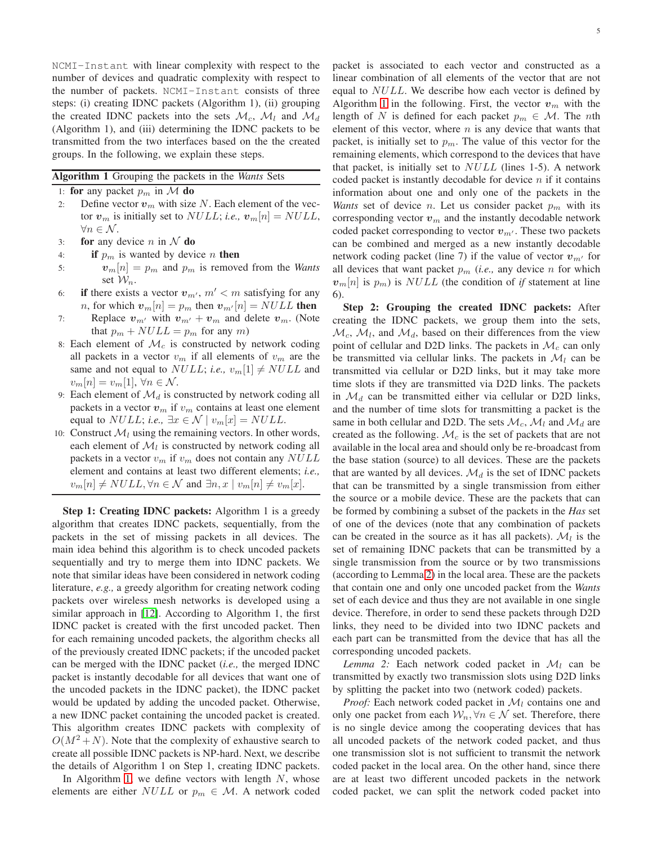NCMI-Instant with linear complexity with respect to the number of devices and quadratic complexity with respect to the number of packets. NCMI-Instant consists of three steps: (i) creating IDNC packets (Algorithm 1), (ii) grouping the created IDNC packets into the sets  $\mathcal{M}_c$ ,  $\mathcal{M}_l$  and  $\mathcal{M}_d$ (Algorithm 1), and (iii) determining the IDNC packets to be transmitted from the two interfaces based on the the created groups. In the following, we explain these steps.

<span id="page-4-0"></span>

| Algorithm 1 Grouping the packets in the Wants Sets |  |  |  |  |  |  |  |  |
|----------------------------------------------------|--|--|--|--|--|--|--|--|
|----------------------------------------------------|--|--|--|--|--|--|--|--|

1: for any packet  $p_m$  in M do

- 2: Define vector  $v_m$  with size N. Each element of the vector  $v_m$  is initially set to *NULL*; *i.e.*,  $v_m[n] = NULL$ ,  $\forall n \in \mathcal{N}$ .
- 3: for any device *n* in  $\mathcal N$  do
- 4: if  $p_m$  is wanted by device *n* then
- 5:  $v_m[n] = p_m$  and  $p_m$  is removed from the *Wants* set  $\mathcal{W}_n$ .
- 6: if there exists a vector  $v_{m'}$ ,  $m' < m$  satisfying for any *n*, for which  $v_m[n] = p_m$  then  $v_{m'}[n] = NULL$  then
- 7: Replace  $v_{m'}$  with  $v_{m'} + v_m$  and delete  $v_m$ . (Note that  $p_m + NULL = p_m$  for any m)
- 8: Each element of  $\mathcal{M}_c$  is constructed by network coding all packets in a vector  $v_m$  if all elements of  $v_m$  are the same and not equal to  $NULL$ ; *i.e.*,  $v_m[1] \neq NULL$  and  $v_m[n] = v_m[1], \forall n \in \mathcal{N}.$
- 9: Each element of  $\mathcal{M}_d$  is constructed by network coding all packets in a vector  $v_m$  if  $v_m$  contains at least one element equal to  $NULL$ ; *i.e.*,  $\exists x \in \mathcal{N} \mid v_m[x] = NULL$ .
- 10: Construct  $\mathcal{M}_l$  using the remaining vectors. In other words, each element of  $\mathcal{M}_l$  is constructed by network coding all packets in a vector  $v_m$  if  $v_m$  does not contain any NULL element and contains at least two different elements; *i.e.,*  $v_m[n] \neq NULL, \forall n \in \mathcal{N}$  and  $\exists n, x \mid v_m[n] \neq v_m[x]$ .

Step 1: Creating IDNC packets: Algorithm 1 is a greedy algorithm that creates IDNC packets, sequentially, from the packets in the set of missing packets in all devices. The main idea behind this algorithm is to check uncoded packets sequentially and try to merge them into IDNC packets. We note that similar ideas have been considered in network coding literature, *e.g.,* a greedy algorithm for creating network coding packets over wireless mesh networks is developed using a similar approach in [\[12\]](#page-14-4). According to Algorithm 1, the first IDNC packet is created with the first uncoded packet. Then for each remaining uncoded packets, the algorithm checks all of the previously created IDNC packets; if the uncoded packet can be merged with the IDNC packet (*i.e.,* the merged IDNC packet is instantly decodable for all devices that want one of the uncoded packets in the IDNC packet), the IDNC packet would be updated by adding the uncoded packet. Otherwise, a new IDNC packet containing the uncoded packet is created. This algorithm creates IDNC packets with complexity of  $O(M^2+N)$ . Note that the complexity of exhaustive search to create all possible IDNC packets is NP-hard. Next, we describe the details of Algorithm 1 on Step 1, creating IDNC packets.

In Algorithm [1,](#page-4-0) we define vectors with length  $N$ , whose elements are either  $NULL$  or  $p_m \in \mathcal{M}$ . A network coded packet is associated to each vector and constructed as a linear combination of all elements of the vector that are not equal to NULL. We describe how each vector is defined by Algorithm [1](#page-4-0) in the following. First, the vector  $v_m$  with the length of N is defined for each packet  $p_m \in \mathcal{M}$ . The nth element of this vector, where  $n$  is any device that wants that packet, is initially set to  $p_m$ . The value of this vector for the remaining elements, which correspond to the devices that have that packet, is initially set to  $NULL$  (lines 1-5). A network coded packet is instantly decodable for device  $n$  if it contains information about one and only one of the packets in the *Wants* set of device *n*. Let us consider packet  $p_m$  with its corresponding vector  $v_m$  and the instantly decodable network coded packet corresponding to vector  $v_{m'}$ . These two packets can be combined and merged as a new instantly decodable network coding packet (line 7) if the value of vector  $v_{m'}$  for all devices that want packet  $p_m$  (*i.e.*, any device n for which  $v_m[n]$  is  $p_m$ ) is NULL (the condition of *if* statement at line 6).

Step 2: Grouping the created IDNC packets: After creating the IDNC packets, we group them into the sets,  $\mathcal{M}_c$ ,  $\mathcal{M}_l$ , and  $\mathcal{M}_d$ , based on their differences from the view point of cellular and D2D links. The packets in  $\mathcal{M}_c$  can only be transmitted via cellular links. The packets in  $\mathcal{M}_l$  can be transmitted via cellular or D2D links, but it may take more time slots if they are transmitted via D2D links. The packets in  $\mathcal{M}_d$  can be transmitted either via cellular or D2D links, and the number of time slots for transmitting a packet is the same in both cellular and D2D. The sets  $\mathcal{M}_c$ ,  $\mathcal{M}_l$  and  $\mathcal{M}_d$  are created as the following.  $\mathcal{M}_c$  is the set of packets that are not available in the local area and should only be re-broadcast from the base station (source) to all devices. These are the packets that are wanted by all devices.  $\mathcal{M}_d$  is the set of IDNC packets that can be transmitted by a single transmission from either the source or a mobile device. These are the packets that can be formed by combining a subset of the packets in the *Has* set of one of the devices (note that any combination of packets can be created in the source as it has all packets).  $\mathcal{M}_l$  is the set of remaining IDNC packets that can be transmitted by a single transmission from the source or by two transmissions (according to Lemma [2\)](#page-4-1) in the local area. These are the packets that contain one and only one uncoded packet from the *Wants* set of each device and thus they are not available in one single device. Therefore, in order to send these packets through D2D links, they need to be divided into two IDNC packets and each part can be transmitted from the device that has all the corresponding uncoded packets.

<span id="page-4-1"></span>*Lemma 2:* Each network coded packet in  $\mathcal{M}_l$  can be transmitted by exactly two transmission slots using D2D links by splitting the packet into two (network coded) packets.

*Proof:* Each network coded packet in  $\mathcal{M}_l$  contains one and only one packet from each  $W_n, \forall n \in \mathcal{N}$  set. Therefore, there is no single device among the cooperating devices that has all uncoded packets of the network coded packet, and thus one transmission slot is not sufficient to transmit the network coded packet in the local area. On the other hand, since there are at least two different uncoded packets in the network coded packet, we can split the network coded packet into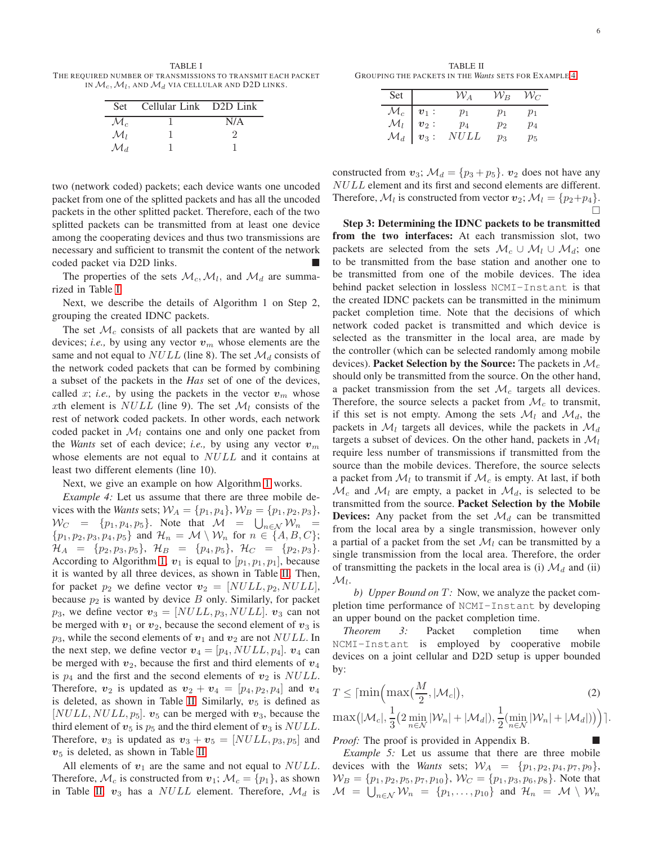<span id="page-5-0"></span>TABLE I THE REQUIRED NUMBER OF TRANSMISSIONS TO TRANSMIT EACH PACKET in  $\mathcal{M}_c$ ,  $\mathcal{M}_l$ , and  $\mathcal{M}_d$  via cellular and D2D links.

| <b>Set</b>      | Cellular Link D2D Link |     |
|-----------------|------------------------|-----|
| $\mathcal{M}_c$ |                        | N/A |
| $\mathcal{M}_I$ |                        |     |
| $\mathcal{M}_d$ |                        |     |

two (network coded) packets; each device wants one uncoded packet from one of the splitted packets and has all the uncoded packets in the other splitted packet. Therefore, each of the two splitted packets can be transmitted from at least one device among the cooperating devices and thus two transmissions are necessary and sufficient to transmit the content of the network coded packet via D2D links.

The properties of the sets  $\mathcal{M}_c$ ,  $\mathcal{M}_l$ , and  $\mathcal{M}_d$  are summarized in Table [I.](#page-5-0)

Next, we describe the details of Algorithm 1 on Step 2, grouping the created IDNC packets.

The set  $\mathcal{M}_c$  consists of all packets that are wanted by all devices; *i.e.*, by using any vector  $v_m$  whose elements are the same and not equal to  $NULL$  (line 8). The set  $\mathcal{M}_d$  consists of the network coded packets that can be formed by combining a subset of the packets in the *Has* set of one of the devices, called x; *i.e.*, by using the packets in the vector  $v_m$  whose xth element is NULL (line 9). The set  $\mathcal{M}_l$  consists of the rest of network coded packets. In other words, each network coded packet in  $\mathcal{M}_l$  contains one and only one packet from the *Wants* set of each device; *i.e.*, by using any vector  $v_m$ whose elements are not equal to NULL and it contains at least two different elements (line 10).

<span id="page-5-2"></span>Next, we give an example on how Algorithm [1](#page-4-0) works.

*Example 4:* Let us assume that there are three mobile devices with the *Wants* sets;  $W_A = \{p_1, p_4\}, W_B = \{p_1, p_2, p_3\},$  $W_C = \{p_1, p_4, p_5\}$ . Note that  $\mathcal{M} = \bigcup_{n \in \mathcal{N}} \mathcal{W}_n =$  $\{p_1, p_2, p_3, p_4, p_5\}$  and  $\mathcal{H}_n = \mathcal{M} \setminus \mathcal{W}_n$  for  $n \in \{A, B, C\}$ ;  $\mathcal{H}_A = \{p_2, p_3, p_5\}, \; \mathcal{H}_B = \{p_4, p_5\}, \; \mathcal{H}_C = \{p_2, p_3\}.$ According to Algorithm [1,](#page-4-0)  $v_1$  is equal to  $[p_1, p_1, p_1]$ , because it is wanted by all three devices, as shown in Table [II.](#page-5-1) Then, for packet  $p_2$  we define vector  $\mathbf{v}_2 = [NULL, p_2, NULL],$ because  $p_2$  is wanted by device  $B$  only. Similarly, for packet  $p_3$ , we define vector  $v_3 = [NULL, p_3, NULL]$ .  $v_3$  can not be merged with  $v_1$  or  $v_2$ , because the second element of  $v_3$  is  $p_3$ , while the second elements of  $v_1$  and  $v_2$  are not NULL. In the next step, we define vector  $v_4 = [p_4, NULL, p_4]$ .  $v_4$  can be merged with  $v_2$ , because the first and third elements of  $v_4$ is  $p_4$  and the first and the second elements of  $v_2$  is NULL. Therefore,  $v_2$  is updated as  $v_2 + v_4 = [p_4, p_2, p_4]$  and  $v_4$ is deleted, as shown in Table [II.](#page-5-1) Similarly,  $v_5$  is defined as  $[NULL, NULL, p_5]$ .  $v_5$  can be merged with  $v_3$ , because the third element of  $v_5$  is  $p_5$  and the third element of  $v_3$  is  $NULL$ . Therefore,  $v_3$  is updated as  $v_3 + v_5 = [NULL, p_3, p_5]$  and  $v<sub>5</sub>$  is deleted, as shown in Table [II.](#page-5-1)

All elements of  $v_1$  are the same and not equal to  $NULL$ . Therefore,  $\mathcal{M}_c$  is constructed from  $v_1$ ;  $\mathcal{M}_c = \{p_1\}$ , as shown in Table [II.](#page-5-1)  $v_3$  has a NULL element. Therefore,  $\mathcal{M}_d$  is

<span id="page-5-1"></span>TABLE II GROUP ING THE PACKETS IN THE *Wants* SETS FOR EXAMPLE [4.](#page-5-2)

| Set                                                                                                                  | ${\cal W}_A$                   | ${\cal W}_B$            | $\mathcal{W}_C$         |
|----------------------------------------------------------------------------------------------------------------------|--------------------------------|-------------------------|-------------------------|
| $\begin{array}{c c} \mathcal{M}_c & \bm{v}_1: \ \mathcal{M}_l & \bm{v}_2: \ \mathcal{M}_d & \bm{v}_3: \ \end{array}$ | $p_1$<br>$p_4$<br><i>NU LL</i> | $p_1$<br>$p_2$<br>$p_3$ | $p_1$<br>$p_4$<br>$p_5$ |

constructed from  $v_3$ ;  $\mathcal{M}_d = \{p_3 + p_5\}$ .  $v_2$  does not have any NULL element and its first and second elements are different. Therefore,  $\mathcal{M}_l$  is constructed from vector  $v_2$ ;  $\mathcal{M}_l = \{p_2 + p_4\}.$ П

Step 3: Determining the IDNC packets to be transmitted from the two interfaces: At each transmission slot, two packets are selected from the sets  $\mathcal{M}_c \cup \mathcal{M}_l \cup \mathcal{M}_d$ ; one to be transmitted from the base station and another one to be transmitted from one of the mobile devices. The idea behind packet selection in lossless NCMI-Instant is that the created IDNC packets can be transmitted in the minimum packet completion time. Note that the decisions of which network coded packet is transmitted and which device is selected as the transmitter in the local area, are made by the controller (which can be selected randomly among mobile devices). Packet Selection by the Source: The packets in  $\mathcal{M}_c$ should only be transmitted from the source. On the other hand, a packet transmission from the set  $\mathcal{M}_c$  targets all devices. Therefore, the source selects a packet from  $\mathcal{M}_c$  to transmit, if this set is not empty. Among the sets  $\mathcal{M}_l$  and  $\mathcal{M}_d$ , the packets in  $\mathcal{M}_l$  targets all devices, while the packets in  $\mathcal{M}_d$ targets a subset of devices. On the other hand, packets in  $\mathcal{M}_l$ require less number of transmissions if transmitted from the source than the mobile devices. Therefore, the source selects a packet from  $\mathcal{M}_l$  to transmit if  $\mathcal{M}_c$  is empty. At last, if both  $\mathcal{M}_c$  and  $\mathcal{M}_l$  are empty, a packet in  $\mathcal{M}_d$ , is selected to be transmitted from the source. Packet Selection by the Mobile **Devices:** Any packet from the set  $\mathcal{M}_d$  can be transmitted from the local area by a single transmission, however only a partial of a packet from the set  $\mathcal{M}_l$  can be transmitted by a single transmission from the local area. Therefore, the order of transmitting the packets in the local area is (i)  $\mathcal{M}_d$  and (ii)  $\mathcal{M}_l$ .

*b) Upper Bound on*  $T$ : Now, we analyze the packet completion time performance of NCMI-Instant by developing an upper bound on the packet completion time.

<span id="page-5-3"></span>*Theorem 3:* Packet completion time when NCMI-Instant is employed by cooperative mobile devices on a joint cellular and D2D setup is upper bounded by:

$$
T \leq \lceil \min\left(\max\left(\frac{M}{2}, |\mathcal{M}_c|\right),\right.\right)
$$
 (2)

<span id="page-5-4"></span>
$$
\max(|\mathcal{M}_c|, \frac{1}{3}(2\min_{n\in\mathcal{N}}|\mathcal{W}_n|+|\mathcal{M}_d|), \frac{1}{2}(\min_{n\in\mathcal{N}}|\mathcal{W}_n|+|\mathcal{M}_d|))
$$

*Proof:* The proof is provided in Appendix B.

*Example 5:* Let us assume that there are three mobile devices with the *Wants* sets;  $W_A = \{p_1, p_2, p_4, p_7, p_9\},\$  $W_B = \{p_1, p_2, p_5, p_7, p_{10}\}, W_C = \{p_1, p_3, p_6, p_8\}.$  Note that  $\mathcal{M} \;=\; \bigcup_{n\in\mathcal{N}}\mathcal{W}_n \;=\; \{p_1,\ldots,p_{10}\}$  and  $\mathcal{H}_n \;=\; \mathcal{M} \,\setminus\, \mathcal{W}_n$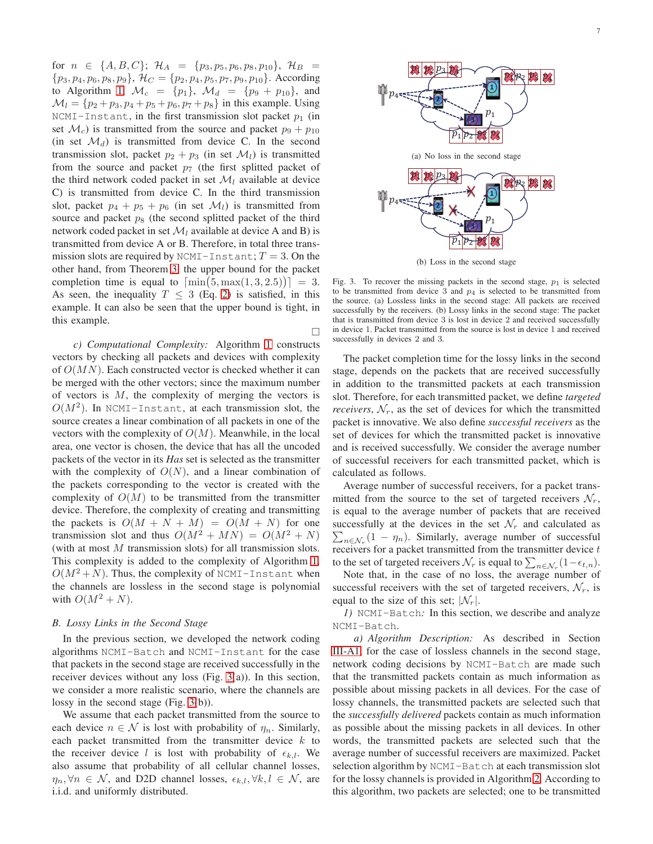for  $n \in \{A, B, C\}$ ;  $\mathcal{H}_A = \{p_3, p_5, p_6, p_8, p_{10}\}$ ,  $\mathcal{H}_B =$  $\{p_3, p_4, p_6, p_8, p_9\}, \, \mathcal{H}_C = \{p_2, p_4, p_5, p_7, p_9, p_{10}\}.$  According to Algorithm [1,](#page-4-0)  $\mathcal{M}_c = \{p_1\}$ ,  $\mathcal{M}_d = \{p_9 + p_{10}\}$ , and  $\mathcal{M}_l = \{p_2 + p_3, p_4 + p_5 + p_6, p_7 + p_8\}$  in this example. Using NCMI-Instant, in the first transmission slot packet  $p_1$  (in set  $\mathcal{M}_c$ ) is transmitted from the source and packet  $p_9 + p_{10}$ (in set  $\mathcal{M}_d$ ) is transmitted from device C. In the second transmission slot, packet  $p_2 + p_3$  (in set  $\mathcal{M}_l$ ) is transmitted from the source and packet  $p_7$  (the first splitted packet of the third network coded packet in set  $\mathcal{M}_l$  available at device C) is transmitted from device C. In the third transmission slot, packet  $p_4 + p_5 + p_6$  (in set  $\mathcal{M}_l$ ) is transmitted from source and packet  $p_8$  (the second splitted packet of the third network coded packet in set  $\mathcal{M}_l$  available at device A and B) is transmitted from device A or B. Therefore, in total three transmission slots are required by NCMI-Instant;  $T = 3$ . On the other hand, from Theorem [3,](#page-5-3) the upper bound for the packet completion time is equal to  $\lceil \min(5, \max(1, 3, 2.5)) \rceil = 3$ . As seen, the inequality  $T \leq 3$  (Eq. [2\)](#page-5-4) is satisfied, in this example. It can also be seen that the upper bound is tight, in this example.

*c) Computational Complexity:* Algorithm [1](#page-4-0) constructs vectors by checking all packets and devices with complexity of  $O(MN)$ . Each constructed vector is checked whether it can be merged with the other vectors; since the maximum number of vectors is  $M$ , the complexity of merging the vectors is  $O(M^2)$ . In NCMI-Instant, at each transmission slot, the source creates a linear combination of all packets in one of the vectors with the complexity of  $O(M)$ . Meanwhile, in the local area, one vector is chosen, the device that has all the uncoded packets of the vector in its *Has* set is selected as the transmitter with the complexity of  $O(N)$ , and a linear combination of the packets corresponding to the vector is created with the complexity of  $O(M)$  to be transmitted from the transmitter device. Therefore, the complexity of creating and transmitting the packets is  $O(M + N + M) = O(M + N)$  for one transmission slot and thus  $O(M^2 + MN) = O(M^2 + N)$ (with at most  $M$  transmission slots) for all transmission slots. This complexity is added to the complexity of Algorithm [1,](#page-4-0)  $O(M^2+N)$ . Thus, the complexity of NCMI-Instant when the channels are lossless in the second stage is polynomial with  $O(M^2 + N)$ .

## *B. Lossy Links in the Second Stage*

In the previous section, we developed the network coding algorithms NCMI-Batch and NCMI-Instant for the case that packets in the second stage are received successfully in the receiver devices without any loss (Fig. [3\(](#page-6-0)a)). In this section, we consider a more realistic scenario, where the channels are lossy in the second stage (Fig. [3\(](#page-6-0)b)).

We assume that each packet transmitted from the source to each device  $n \in \mathcal{N}$  is lost with probability of  $\eta_n$ . Similarly, each packet transmitted from the transmitter device  $k$  to the receiver device l is lost with probability of  $\epsilon_{k,l}$ . We also assume that probability of all cellular channel losses,  $\eta_n, \forall n \in \mathcal{N}$ , and D2D channel losses,  $\epsilon_{k,l}, \forall k,l \in \mathcal{N}$ , are i.i.d. and uniformly distributed.



(b) Loss in the second stage

<span id="page-6-0"></span>Fig. 3. To recover the missing packets in the second stage,  $p_1$  is selected to be transmitted from device 3 and  $p_4$  is selected to be transmitted from the source. (a) Lossless links in the second stage: All packets are received successfully by the receivers. (b) Lossy links in the second stage: The packet that is transmitted from device 3 is lost in device 2 and received successfully in device 1. Packet transmitted from the source is lost in device 1 and received successfully in devices 2 and 3.

 $\Box$ 

The packet completion time for the lossy links in the second stage, depends on the packets that are received successfully in addition to the transmitted packets at each transmission slot. Therefore, for each transmitted packet, we define *targeted receivers*,  $\mathcal{N}_r$ , as the set of devices for which the transmitted packet is innovative. We also define *successful receivers* as the set of devices for which the transmitted packet is innovative and is received successfully. We consider the average number of successful receivers for each transmitted packet, which is calculated as follows.

Average number of successful receivers, for a packet transmitted from the source to the set of targeted receivers  $\mathcal{N}_r$ , is equal to the average number of packets that are received successfully at the devices in the set  $\mathcal{N}_r$  and calculated as  $\sum_{n \in \mathcal{N}_r} (1 - \eta_n)$ . Similarly, average number of successful receivers for a packet transmitted from the transmitter device  $t$ to the set of targeted receivers  $\mathcal{N}_r$  is equal to  $\sum_{n \in \mathcal{N}_r} (1 - \epsilon_{t,n}).$ 

Note that, in the case of no loss, the average number of successful receivers with the set of targeted receivers,  $\mathcal{N}_r$ , is equal to the size of this set;  $|\mathcal{N}_r|$ .

*1)* NCMI-Batch*:* In this section, we describe and analyze NCMI-Batch.

*a) Algorithm Description:* As described in Section [III-A1,](#page-2-2) for the case of lossless channels in the second stage, network coding decisions by NCMI-Batch are made such that the transmitted packets contain as much information as possible about missing packets in all devices. For the case of lossy channels, the transmitted packets are selected such that the *successfully delivered* packets contain as much information as possible about the missing packets in all devices. In other words, the transmitted packets are selected such that the average number of successful receivers are maximized. Packet selection algorithm by NCMI-Batch at each transmission slot for the lossy channels is provided in Algorithm [2.](#page-7-0) According to this algorithm, two packets are selected; one to be transmitted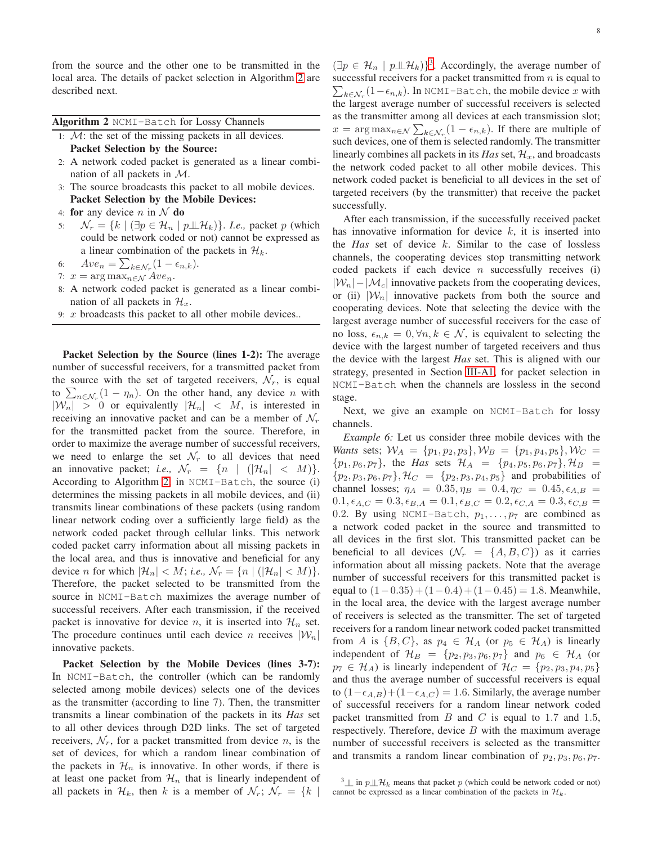from the source and the other one to be transmitted in the local area. The details of packet selection in Algorithm [2](#page-7-0) are described next.

<span id="page-7-0"></span>Algorithm 2 NCMI-Batch for Lossy Channels

- 1:  $M$ : the set of the missing packets in all devices. Packet Selection by the Source:
- 2: A network coded packet is generated as a linear combination of all packets in M.
- 3: The source broadcasts this packet to all mobile devices. Packet Selection by the Mobile Devices:
- 4: for any device n in  $\mathcal N$  do
- 5:  $\mathcal{N}_r = \{k \mid (\exists p \in \mathcal{H}_n \mid p \perp \!\!\!\perp \mathcal{H}_k)\}.$  *I.e.*, packet p (which could be network coded or not) cannot be expressed as a linear combination of the packets in  $\mathcal{H}_k$ .

6: 
$$
Ave_n = \sum_{k \in \mathcal{N}_r} (1 - \epsilon_{n,k}).
$$

7:  $x = \arg \max_{n \in \mathcal{N}} Ave_n$ .

- 8: A network coded packet is generated as a linear combination of all packets in  $\mathcal{H}_x$ .
- 9:  $x$  broadcasts this packet to all other mobile devices..

Packet Selection by the Source (lines 1-2): The average number of successful receivers, for a transmitted packet from the source with the set of targeted receivers,  $\mathcal{N}_r$ , is equal to  $\sum_{n \in \mathcal{N}_r} (1 - \eta_n)$ . On the other hand, any device n with  $|W_n| > 0$  or equivalently  $|\mathcal{H}_n| < M$ , is interested in receiving an innovative packet and can be a member of  $\mathcal{N}_r$ for the transmitted packet from the source. Therefore, in order to maximize the average number of successful receivers, we need to enlarge the set  $\mathcal{N}_r$  to all devices that need an innovative packet; *i.e.*,  $\mathcal{N}_r = \{n \mid (|\mathcal{H}_n| < M)\}.$ According to Algorithm [2,](#page-7-0) in NCMI-Batch, the source (i) determines the missing packets in all mobile devices, and (ii) transmits linear combinations of these packets (using random linear network coding over a sufficiently large field) as the network coded packet through cellular links. This network coded packet carry information about all missing packets in the local area, and thus is innovative and beneficial for any device *n* for which  $|\mathcal{H}_n| < M$ ; *i.e.*,  $\mathcal{N}_r = \{n \mid (|\mathcal{H}_n| < M)\}.$ Therefore, the packet selected to be transmitted from the source in NCMI-Batch maximizes the average number of successful receivers. After each transmission, if the received packet is innovative for device n, it is inserted into  $\mathcal{H}_n$  set. The procedure continues until each device n receives  $|\mathcal{W}_n|$ innovative packets.

Packet Selection by the Mobile Devices (lines 3-7): In NCMI-Batch, the controller (which can be randomly selected among mobile devices) selects one of the devices as the transmitter (according to line 7). Then, the transmitter transmits a linear combination of the packets in its *Has* set to all other devices through D2D links. The set of targeted receivers,  $\mathcal{N}_r$ , for a packet transmitted from device n, is the set of devices, for which a random linear combination of the packets in  $\mathcal{H}_n$  is innovative. In other words, if there is at least one packet from  $\mathcal{H}_n$  that is linearly independent of all packets in  $\mathcal{H}_k$ , then k is a member of  $\mathcal{N}_r$ ;  $\mathcal{N}_r = \{k \mid$ 

 $(\exists p \in \mathcal{H}_n \mid p \perp \!\!\!\perp \mathcal{H}_k)$ <sup>[3](#page-7-1)</sup>. Accordingly, the average number of  $\sum_{k \in \mathcal{N}_r} (1 - \epsilon_{n,k})$ . In NCMI-Batch, the mobile device x with successful receivers for a packet transmitted from  $n$  is equal to the largest average number of successful receivers is selected as the transmitter among all devices at each transmission slot;  $x = \arg \max_{n \in \mathcal{N}} \sum_{k \in \mathcal{N}_r} (1 - \epsilon_{n,k}).$  If there are multiple of such devices, one of them is selected randomly. The transmitter linearly combines all packets in its *Has* set,  $\mathcal{H}_x$ , and broadcasts the network coded packet to all other mobile devices. This network coded packet is beneficial to all devices in the set of targeted receivers (by the transmitter) that receive the packet successfully.

After each transmission, if the successfully received packet has innovative information for device  $k$ , it is inserted into the *Has* set of device k. Similar to the case of lossless channels, the cooperating devices stop transmitting network coded packets if each device  $n$  successfully receives (i)  $|\mathcal{W}_n|$  –  $|\mathcal{M}_c|$  innovative packets from the cooperating devices, or (ii)  $|\mathcal{W}_n|$  innovative packets from both the source and cooperating devices. Note that selecting the device with the largest average number of successful receivers for the case of no loss,  $\epsilon_{n,k} = 0, \forall n, k \in \mathcal{N}$ , is equivalent to selecting the device with the largest number of targeted receivers and thus the device with the largest *Has* set. This is aligned with our strategy, presented in Section [III-A1,](#page-2-2) for packet selection in NCMI-Batch when the channels are lossless in the second stage.

Next, we give an example on NCMI-Batch for lossy channels.

*Example 6:* Let us consider three mobile devices with the *Wants* sets;  $W_A = \{p_1, p_2, p_3\}, W_B = \{p_1, p_4, p_5\}, W_C =$  $\{p_1, p_6, p_7\}$ , the *Has* sets  $\mathcal{H}_A = \{p_4, p_5, p_6, p_7\}$ ,  $\mathcal{H}_B =$  $\{p_2, p_3, p_6, p_7\}, \mathcal{H}_C = \{p_2, p_3, p_4, p_5\}$  and probabilities of channel losses;  $\eta_A = 0.35, \eta_B = 0.4, \eta_C = 0.45, \epsilon_{A,B} =$  $0.1, \epsilon_{A,C} = 0.3, \epsilon_{B,A} = 0.1, \epsilon_{B,C} = 0.2, \epsilon_{C,A} = 0.3, \epsilon_{C,B} =$ 0.2. By using NCMI-Batch,  $p_1, \ldots, p_7$  are combined as a network coded packet in the source and transmitted to all devices in the first slot. This transmitted packet can be beneficial to all devices  $(\mathcal{N}_r = \{A, B, C\})$  as it carries information about all missing packets. Note that the average number of successful receivers for this transmitted packet is equal to  $(1-0.35)+(1-0.4)+(1-0.45) = 1.8$ . Meanwhile, in the local area, the device with the largest average number of receivers is selected as the transmitter. The set of targeted receivers for a random linear network coded packet transmitted from A is  $\{B, C\}$ , as  $p_4 \in \mathcal{H}_A$  (or  $p_5 \in \mathcal{H}_A$ ) is linearly independent of  $\mathcal{H}_B = \{p_2, p_3, p_6, p_7\}$  and  $p_6 \in \mathcal{H}_A$  (or  $p_7 \in \mathcal{H}_A$ ) is linearly independent of  $\mathcal{H}_C = \{p_2, p_3, p_4, p_5\}$ and thus the average number of successful receivers is equal to  $(1-\epsilon_{A,B})+(1-\epsilon_{A,C})=1.6$ . Similarly, the average number of successful receivers for a random linear network coded packet transmitted from  $B$  and  $C$  is equal to 1.7 and 1.5, respectively. Therefore, device  $B$  with the maximum average number of successful receivers is selected as the transmitter and transmits a random linear combination of  $p_2, p_3, p_6, p_7$ .

<span id="page-7-1"></span> $^3$   $\perp$  in  $p$   $\perp$   $\mathcal{H}_k$  means that packet p (which could be network coded or not) cannot be expressed as a linear combination of the packets in  $\mathcal{H}_k$ .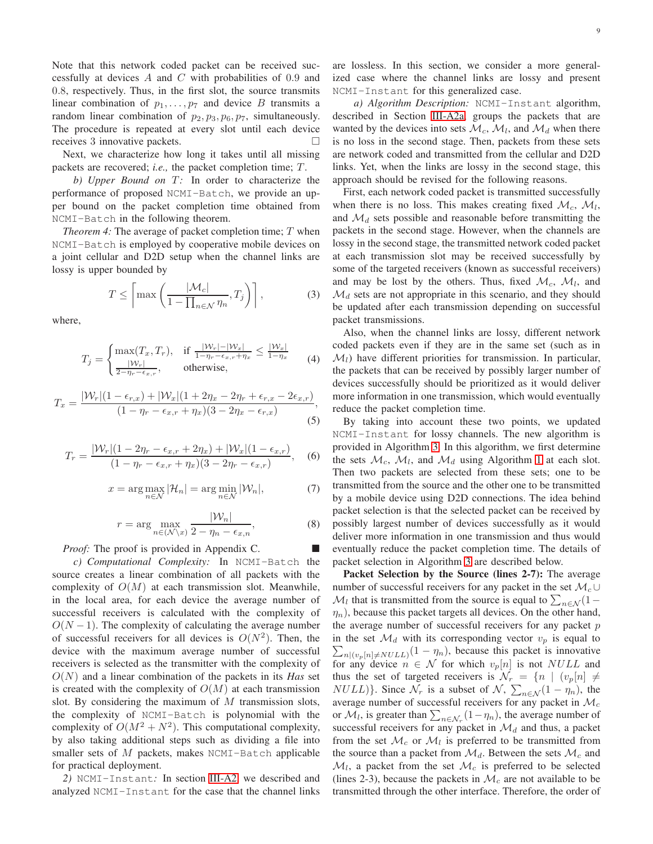Note that this network coded packet can be received successfully at devices A and C with probabilities of  $0.9$  and 0.8, respectively. Thus, in the first slot, the source transmits linear combination of  $p_1, \ldots, p_7$  and device B transmits a random linear combination of  $p_2, p_3, p_6, p_7$ , simultaneously. The procedure is repeated at every slot until each device receives 3 innovative packets.

Next, we characterize how long it takes until all missing packets are recovered; *i.e.*, the packet completion time; T.

*b)* Upper Bound on T: In order to characterize the performance of proposed NCMI-Batch, we provide an upper bound on the packet completion time obtained from NCMI-Batch in the following theorem.

*Theorem 4:* The average of packet completion time; T when NCMI-Batch is employed by cooperative mobile devices on a joint cellular and D2D setup when the channel links are lossy is upper bounded by

<span id="page-8-0"></span>
$$
T \le \left[ \max \left( \frac{|\mathcal{M}_c|}{1 - \prod_{n \in \mathcal{N}} \eta_n}, T_j \right) \right],
$$
 (3)

where,

$$
T_j = \begin{cases} \max(T_x, T_r), & \text{if } \frac{|\mathcal{W}_r| - |\mathcal{W}_x|}{1 - \eta_r - \epsilon_{x,r} + \eta_x} \le \frac{|\mathcal{W}_x|}{1 - \eta_x} \\ \frac{|\mathcal{W}_r|}{2 - \eta_r - \epsilon_{x,r}}, & \text{otherwise,} \end{cases}
$$
(4)

<span id="page-8-2"></span>
$$
T_x = \frac{|\mathcal{W}_r|(1 - \epsilon_{r,x}) + |\mathcal{W}_x|(1 + 2\eta_x - 2\eta_r + \epsilon_{r,x} - 2\epsilon_{x,r})}{(1 - \eta_r - \epsilon_{x,r} + \eta_x)(3 - 2\eta_x - \epsilon_{r,x})},
$$
(5)

<span id="page-8-3"></span>
$$
T_r = \frac{|\mathcal{W}_r|(1 - 2\eta_r - \epsilon_{x,r} + 2\eta_x) + |\mathcal{W}_x|(1 - \epsilon_{x,r})}{(1 - \eta_r - \epsilon_{x,r} + \eta_x)(3 - 2\eta_r - \epsilon_{x,r})},
$$
(6)

$$
x = \arg \max_{n \in \mathcal{N}} |\mathcal{H}_n| = \arg \min_{n \in \mathcal{N}} |\mathcal{W}_n|,\tag{7}
$$

$$
r = \arg\max_{n \in (\mathcal{N}\backslash x)} \frac{|\mathcal{W}_n|}{2 - \eta_n - \epsilon_{x,n}},
$$
(8)

*Proof:* The proof is provided in Appendix C.

*c) Computational Complexity:* In NCMI-Batch the source creates a linear combination of all packets with the complexity of  $O(M)$  at each transmission slot. Meanwhile, in the local area, for each device the average number of successful receivers is calculated with the complexity of  $O(N-1)$ . The complexity of calculating the average number of successful receivers for all devices is  $O(N^2)$ . Then, the device with the maximum average number of successful receivers is selected as the transmitter with the complexity of O(N) and a linear combination of the packets in its *Has* set is created with the complexity of  $O(M)$  at each transmission slot. By considering the maximum of  $M$  transmission slots, the complexity of NCMI-Batch is polynomial with the complexity of  $O(M^2 + N^2)$ . This computational complexity, by also taking additional steps such as dividing a file into smaller sets of  $M$  packets, makes NCMI-Batch applicable for practical deployment.

*2)* NCMI-Instant*:* In section [III-A2,](#page-3-2) we described and analyzed NCMI-Instant for the case that the channel links are lossless. In this section, we consider a more generalized case where the channel links are lossy and present NCMI-Instant for this generalized case.

*a) Algorithm Description:* NCMI-Instant algorithm, described in Section [III-A2a,](#page-3-3) groups the packets that are wanted by the devices into sets  $\mathcal{M}_c$ ,  $\mathcal{M}_l$ , and  $\mathcal{M}_d$  when there is no loss in the second stage. Then, packets from these sets are network coded and transmitted from the cellular and D2D links. Yet, when the links are lossy in the second stage, this approach should be revised for the following reasons.

<span id="page-8-1"></span>First, each network coded packet is transmitted successfully when there is no loss. This makes creating fixed  $\mathcal{M}_c$ ,  $\mathcal{M}_l$ , and  $\mathcal{M}_d$  sets possible and reasonable before transmitting the packets in the second stage. However, when the channels are lossy in the second stage, the transmitted network coded packet at each transmission slot may be received successfully by some of the targeted receivers (known as successful receivers) and may be lost by the others. Thus, fixed  $\mathcal{M}_c$ ,  $\mathcal{M}_l$ , and  $\mathcal{M}_d$  sets are not appropriate in this scenario, and they should be updated after each transmission depending on successful packet transmissions.

Also, when the channel links are lossy, different network coded packets even if they are in the same set (such as in  $\mathcal{M}_l$ ) have different priorities for transmission. In particular, the packets that can be received by possibly larger number of devices successfully should be prioritized as it would deliver more information in one transmission, which would eventually reduce the packet completion time.

By taking into account these two points, we updated NCMI-Instant for lossy channels. The new algorithm is provided in Algorithm [3.](#page-9-0) In this algorithm, we first determine the sets  $\mathcal{M}_c$ ,  $\mathcal{M}_l$ , and  $\mathcal{M}_d$  using Algorithm [1](#page-4-0) at each slot. Then two packets are selected from these sets; one to be transmitted from the source and the other one to be transmitted by a mobile device using D2D connections. The idea behind packet selection is that the selected packet can be received by possibly largest number of devices successfully as it would deliver more information in one transmission and thus would eventually reduce the packet completion time. The details of packet selection in Algorithm [3](#page-9-0) are described below.

Packet Selection by the Source (lines 2-7): The average number of successful receivers for any packet in the set  $\mathcal{M}_c$  ∪  $\mathcal{M}_l$  that is transmitted from the source is equal to  $\sum_{n \in \mathcal{N}} (1 \eta_n$ ), because this packet targets all devices. On the other hand, the average number of successful receivers for any packet  $p$ in the set  $\mathcal{M}_d$  with its corresponding vector  $v_p$  is equal to  $\sum_{n|(v_p[n]\neq NULL)}(1 - \eta_n)$ , because this packet is innovative for any device  $n \in \mathcal{N}$  for which  $v_p[n]$  is not NULL and thus the set of targeted receivers is  $\mathcal{N}_r = \{n \mid (v_p[n] \neq$  $NULL$ }. Since  $\mathcal{N}_r$  is a subset of  $\mathcal{N}, \sum_{n \in \mathcal{N}} (1 - \eta_n)$ , the average number of successful receivers for any packet in  $\mathcal{M}_c$ or  $\mathcal{M}_l$ , is greater than  $\sum_{n \in \mathcal{N}_r} (1 - \eta_n)$ , the average number of successful receivers for any packet in  $\mathcal{M}_d$  and thus, a packet from the set  $\mathcal{M}_c$  or  $\mathcal{M}_l$  is preferred to be transmitted from the source than a packet from  $\mathcal{M}_d$ . Between the sets  $\mathcal{M}_c$  and  $\mathcal{M}_l$ , a packet from the set  $\mathcal{M}_c$  is preferred to be selected (lines 2-3), because the packets in  $\mathcal{M}_c$  are not available to be transmitted through the other interface. Therefore, the order of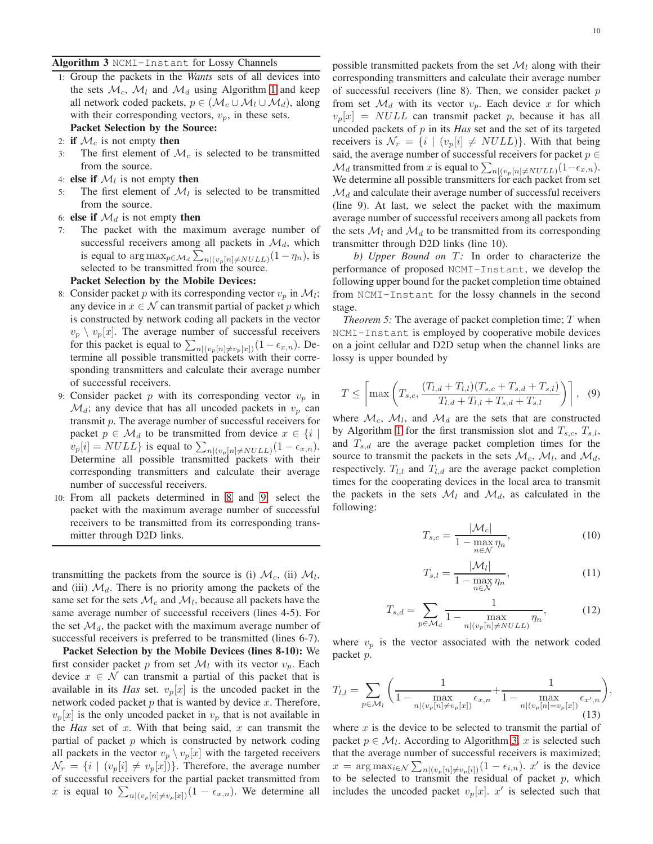<span id="page-9-0"></span>1: Group the packets in the *Wants* sets of all devices into the sets  $\mathcal{M}_c$ ,  $\mathcal{M}_l$  and  $\mathcal{M}_d$  using Algorithm [1](#page-4-0) and keep all network coded packets,  $p \in (\mathcal{M}_c \cup \mathcal{M}_l \cup \mathcal{M}_d)$ , along with their corresponding vectors,  $v_p$ , in these sets. Packet Selection by the Source:

- 2: if  $\mathcal{M}_c$  is not empty then
- 3: The first element of  $\mathcal{M}_c$  is selected to be transmitted from the source.
- 4: **else if**  $\mathcal{M}_l$  is not empty **then**
- 5: The first element of  $\mathcal{M}_l$  is selected to be transmitted from the source.
- 6: else if  $\mathcal{M}_d$  is not empty then
- 7: The packet with the maximum average number of successful receivers among all packets in  $\mathcal{M}_d$ , which is equal to  $\arg \max_{p \in \mathcal{M}_d} \sum_{n|(v_p[n] \neq NULL)} (1 - \eta_n)$ , is selected to be transmitted from the source.

## Packet Selection by the Mobile Devices:

- 8: Consider packet p with its corresponding vector  $v_p$  in  $\mathcal{M}_l$ ; any device in  $x \in \mathcal{N}$  can transmit partial of packet p which is constructed by network coding all packets in the vector  $v_p \setminus v_p[x]$ . The average number of successful receivers for this packet is equal to  $\sum_{n|(v_p[n]\neq v_p[x])}(1-\epsilon_{x,n})$ . Determine all possible transmitted packets with their corresponding transmitters and calculate their average number of successful receivers.
- <span id="page-9-2"></span>9: Consider packet  $p$  with its corresponding vector  $v_p$  in  $\mathcal{M}_d$ ; any device that has all uncoded packets in  $v_p$  can transmit p. The average number of successful receivers for packet  $p \in \mathcal{M}_d$  to be transmitted from device  $x \in \{i \mid d\}$  $v_p[i] = NULL$ } is equal to  $\sum_{n|(v_p[n] \neq NULL)} (1 - \epsilon_{x,n}).$ Determine all possible transmitted packets with their corresponding transmitters and calculate their average number of successful receivers.
- 10: From all packets determined in [8](#page-9-1) and [9,](#page-9-2) select the packet with the maximum average number of successful receivers to be transmitted from its corresponding transmitter through D2D links.

transmitting the packets from the source is (i)  $\mathcal{M}_c$ , (ii)  $\mathcal{M}_l$ , and (iii)  $\mathcal{M}_d$ . There is no priority among the packets of the same set for the sets  $\mathcal{M}_c$  and  $\mathcal{M}_l$ , because all packets have the same average number of successful receivers (lines 4-5). For the set  $\mathcal{M}_d$ , the packet with the maximum average number of successful receivers is preferred to be transmitted (lines 6-7).

Packet Selection by the Mobile Devices (lines 8-10): We first consider packet p from set  $\mathcal{M}_l$  with its vector  $v_p$ . Each device  $x \in \mathcal{N}$  can transmit a partial of this packet that is available in its *Has* set.  $v_p[x]$  is the uncoded packet in the network coded packet  $p$  that is wanted by device  $x$ . Therefore,  $v_p[x]$  is the only uncoded packet in  $v_p$  that is not available in the *Has* set of x. With that being said, x can transmit the partial of packet  $p$  which is constructed by network coding all packets in the vector  $v_p \setminus v_p[x]$  with the targeted receivers  $\mathcal{N}_r = \{i \mid (v_p[i] \neq v_p[x])\}.$  Therefore, the average number of successful receivers for the partial packet transmitted from x is equal to  $\sum_{n|(v_p[n]\neq v_p[x])}(1 - \epsilon_{x,n})$ . We determine all possible transmitted packets from the set  $\mathcal{M}_l$  along with their corresponding transmitters and calculate their average number of successful receivers (line 8). Then, we consider packet  $p$ from set  $\mathcal{M}_d$  with its vector  $v_p$ . Each device x for which  $v_p[x] = NULL$  can transmit packet p, because it has all uncoded packets of p in its *Has* set and the set of its targeted receivers is  $\mathcal{N}_r = \{i \mid (v_p[i] \neq NULL)\}\)$ . With that being said, the average number of successful receivers for packet  $p \in$  $\mathcal{M}_d$  transmitted from  $x$  is equal to  $\sum_{n|(v_p[n]\neq NULL)}(1-\epsilon_{x,n}).$ We determine all possible transmitters for each packet from set  $\mathcal{M}_d$  and calculate their average number of successful receivers (line 9). At last, we select the packet with the maximum average number of successful receivers among all packets from the sets  $\mathcal{M}_l$  and  $\mathcal{M}_d$  to be transmitted from its corresponding transmitter through D2D links (line 10).

<span id="page-9-1"></span>*b)* Upper Bound on T: In order to characterize the performance of proposed NCMI-Instant, we develop the following upper bound for the packet completion time obtained from NCMI-Instant for the lossy channels in the second stage.

<span id="page-9-4"></span>*Theorem 5:* The average of packet completion time; T when NCMI-Instant is employed by cooperative mobile devices on a joint cellular and D2D setup when the channel links are lossy is upper bounded by

<span id="page-9-3"></span>
$$
T \leq \left[ \max \left( T_{s,c}, \frac{(T_{l,d} + T_{l,l})(T_{s,c} + T_{s,d} + T_{s,l})}{T_{l,d} + T_{l,l} + T_{s,d} + T_{s,l}} \right) \right], \quad (9)
$$

where  $\mathcal{M}_c$ ,  $\mathcal{M}_l$ , and  $\mathcal{M}_d$  are the sets that are constructed by Algorithm [1](#page-4-0) for the first transmission slot and  $T_{s,c}$ ,  $T_{s,l}$ , and  $T_{s,d}$  are the average packet completion times for the source to transmit the packets in the sets  $\mathcal{M}_c$ ,  $\mathcal{M}_l$ , and  $\mathcal{M}_d$ , respectively.  $T_{l,l}$  and  $T_{l,d}$  are the average packet completion times for the cooperating devices in the local area to transmit the packets in the sets  $\mathcal{M}_l$  and  $\mathcal{M}_d$ , as calculated in the following:

<span id="page-9-5"></span>
$$
T_{s,c} = \frac{|\mathcal{M}_c|}{1 - \max_{n \in \mathcal{N}} \eta_n},\tag{10}
$$

<span id="page-9-6"></span>
$$
T_{s,l} = \frac{|\mathcal{M}_l|}{1 - \max_{n \in \mathcal{N}} \eta_n},\tag{11}
$$

,

<span id="page-9-7"></span>
$$
T_{s,d} = \sum_{p \in \mathcal{M}_d} \frac{1}{1 - \max_{n | (v_p[n] \neq NULL)} \eta_n},
$$
(12)

where  $v_p$  is the vector associated with the network coded packet p.

<span id="page-9-8"></span>
$$
T_{l,l} = \sum_{p \in \mathcal{M}_l} \left( \frac{1}{1 - \max_{n | (v_p[n] \neq v_p[x])} \epsilon_{x,n}} + \frac{1}{1 - \max_{n | (v_p[n] = v_p[x])} \epsilon_{x',n}} \right)
$$
(13)

where  $x$  is the device to be selected to transmit the partial of packet  $p \in \mathcal{M}_l$ . According to Algorithm [3,](#page-9-0) x is selected such that the average number of successful receivers is maximized;  $x = \arg \max_{i \in \mathcal{N}} \sum_{n | (v_p[n] \neq v_p[i])} (1 - \epsilon_{i,n}). x'$  is the device to be selected to transmit the residual of packet  $p$ , which includes the uncoded packet  $v_p[x]$ .  $x'$  is selected such that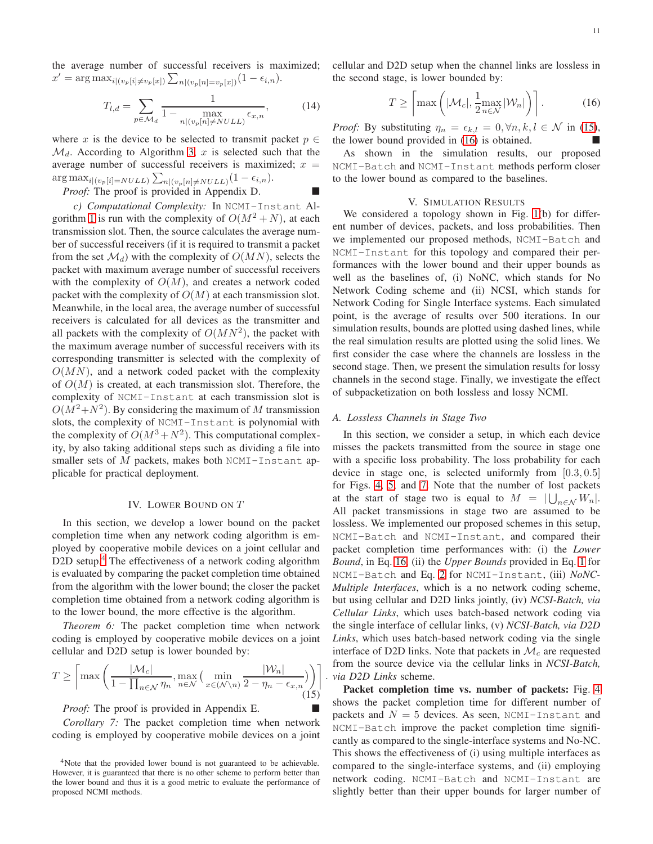the average number of successful receivers is maximized;  $x' = \arg \max_{i|(v_p[i] \neq v_p[x])} \sum_{n|(v_p[n] = v_p[x])} (1 - \epsilon_{i,n}).$ 

<span id="page-10-5"></span>
$$
T_{l,d} = \sum_{p \in \mathcal{M}_d} \frac{1}{1 - \max_{n|(v_p[n] \neq NULL)} \epsilon_{x,n}},\tag{14}
$$

where x is the device to be selected to transmit packet  $p \in$  $\mathcal{M}_d$ . According to Algorithm [3,](#page-9-0) x is selected such that the average number of successful receivers is maximized;  $x =$  $\arg \max_{i|(v_p[i]= NULL)} \sum_{n|(v_p[n]\neq NULL)} (1 - \epsilon_{i,n}).$ 

## *Proof:* The proof is provided in Appendix D.

*c) Computational Complexity:* In NCMI-Instant Al-gorithm [1](#page-4-0) is run with the complexity of  $O(M^2 + N)$ , at each transmission slot. Then, the source calculates the average number of successful receivers (if it is required to transmit a packet from the set  $\mathcal{M}_d$ ) with the complexity of  $O(MN)$ , selects the packet with maximum average number of successful receivers with the complexity of  $O(M)$ , and creates a network coded packet with the complexity of  $O(M)$  at each transmission slot. Meanwhile, in the local area, the average number of successful receivers is calculated for all devices as the transmitter and all packets with the complexity of  $O(MN^2)$ , the packet with the maximum average number of successful receivers with its corresponding transmitter is selected with the complexity of  $O(MN)$ , and a network coded packet with the complexity of  $O(M)$  is created, at each transmission slot. Therefore, the complexity of NCMI-Instant at each transmission slot is  $O(M^2+N^2)$ . By considering the maximum of M transmission slots, the complexity of NCMI-Instant is polynomial with the complexity of  $O(M^3 + N^2)$ . This computational complexity, by also taking additional steps such as dividing a file into smaller sets of  $M$  packets, makes both NCMI-Instant applicable for practical deployment.

## IV. LOWER BOUND ON T

<span id="page-10-0"></span>In this section, we develop a lower bound on the packet completion time when any network coding algorithm is employed by cooperative mobile devices on a joint cellular and D2D setup.<sup>[4](#page-10-2)</sup> The effectiveness of a network coding algorithm is evaluated by comparing the packet completion time obtained from the algorithm with the lower bound; the closer the packet completion time obtained from a network coding algorithm is to the lower bound, the more effective is the algorithm.

<span id="page-10-6"></span>*Theorem 6:* The packet completion time when network coding is employed by cooperative mobile devices on a joint cellular and D2D setup is lower bounded by:

<span id="page-10-3"></span>
$$
T \geq \left\lceil \max\left(\frac{|\mathcal{M}_c|}{1 - \prod_{n \in \mathcal{N}} \eta_n}, \max_{n \in \mathcal{N}} \left( \min_{x \in (\mathcal{N} \setminus n)} \frac{|\mathcal{W}_n|}{2 - \eta_n - \epsilon_{x,n}} \right) \right) \right\rceil.
$$
 (15)

*Proof:* The proof is provided in Appendix E.

*Corollary 7:* The packet completion time when network coding is employed by cooperative mobile devices on a joint cellular and D2D setup when the channel links are lossless in the second stage, is lower bounded by:

<span id="page-10-4"></span>
$$
T \ge \left\lceil \max\left( |\mathcal{M}_c|, \frac{1}{2} \max_{n \in \mathcal{N}} |\mathcal{W}_n| \right) \right\rceil. \tag{16}
$$

*Proof:* By substituting  $\eta_n = \epsilon_{k,l} = 0, \forall n, k, l \in \mathcal{N}$  in [\(15\)](#page-10-3), the lower bound provided in [\(16\)](#page-10-4) is obtained.

As shown in the simulation results, our proposed NCMI-Batch and NCMI-Instant methods perform closer to the lower bound as compared to the baselines.

#### V. SIMULATION RESULTS

<span id="page-10-1"></span>We considered a topology shown in Fig. [1\(](#page-0-0)b) for different number of devices, packets, and loss probabilities. Then we implemented our proposed methods, NCMI-Batch and NCMI-Instant for this topology and compared their performances with the lower bound and their upper bounds as well as the baselines of, (i) NoNC, which stands for No Network Coding scheme and (ii) NCSI, which stands for Network Coding for Single Interface systems. Each simulated point, is the average of results over 500 iterations. In our simulation results, bounds are plotted using dashed lines, while the real simulation results are plotted using the solid lines. We first consider the case where the channels are lossless in the second stage. Then, we present the simulation results for lossy channels in the second stage. Finally, we investigate the effect of subpacketization on both lossless and lossy NCMI.

#### *A. Lossless Channels in Stage Two*

In this section, we consider a setup, in which each device misses the packets transmitted from the source in stage one with a specific loss probability. The loss probability for each device in stage one, is selected uniformly from  $[0.3, 0.5]$ for Figs. [4,](#page-11-0) [5,](#page-11-1) and [7.](#page-12-0) Note that the number of lost packets at the start of stage two is equal to  $M = |\bigcup_{n \in \mathcal{N}} W_n|$ . All packet transmissions in stage two are assumed to be lossless. We implemented our proposed schemes in this setup, NCMI-Batch and NCMI-Instant, and compared their packet completion time performances with: (i) the *Lower Bound*, in Eq. [16,](#page-10-4) (ii) the *Upper Bounds* provided in Eq. [1](#page-3-1) for NCMI-Batch and Eq. [2](#page-5-4) for NCMI-Instant, (iii) *NoNC-Multiple Interfaces*, which is a no network coding scheme, but using cellular and D2D links jointly, (iv) *NCSI-Batch, via Cellular Links*, which uses batch-based network coding via the single interface of cellular links, (v) *NCSI-Batch, via D2D Links*, which uses batch-based network coding via the single interface of D2D links. Note that packets in  $\mathcal{M}_c$  are requested from the source device via the cellular links in *NCSI-Batch, via D2D Links* scheme.

Packet completion time vs. number of packets: Fig. [4](#page-11-0) shows the packet completion time for different number of packets and  $N = 5$  devices. As seen, NCMI-Instant and NCMI-Batch improve the packet completion time significantly as compared to the single-interface systems and No-NC. This shows the effectiveness of (i) using multiple interfaces as compared to the single-interface systems, and (ii) employing network coding. NCMI-Batch and NCMI-Instant are slightly better than their upper bounds for larger number of

<span id="page-10-2"></span><sup>4</sup>Note that the provided lower bound is not guaranteed to be achievable. However, it is guaranteed that there is no other scheme to perform better than the lower bound and thus it is a good metric to evaluate the performance of proposed NCMI methods.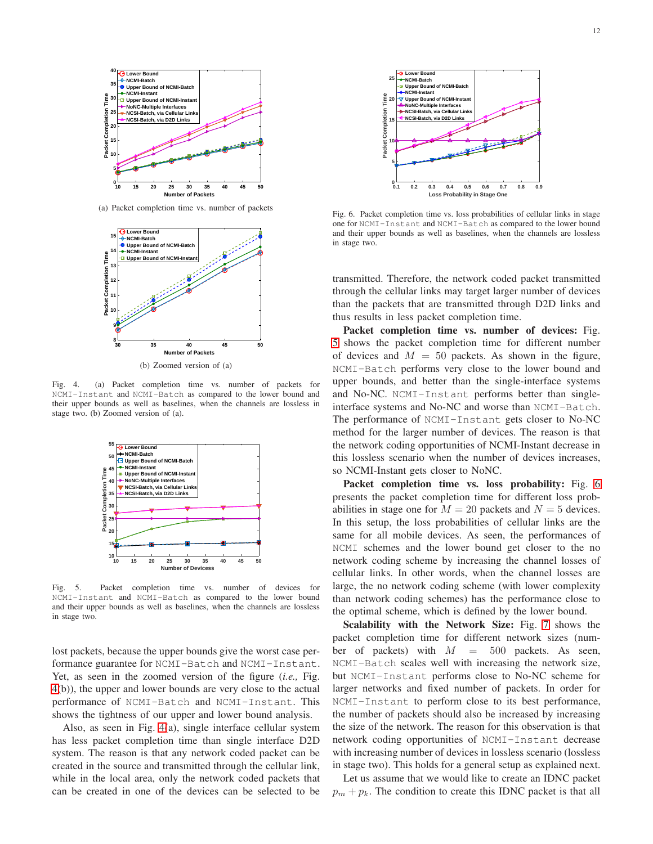

(a) Packet completion time vs. number of packets



(b) Zoomed version of (a)

<span id="page-11-0"></span>Fig. 4. (a) Packet completion time vs. number of packets for NCMI-Instant and NCMI-Batch as compared to the lower bound and their upper bounds as well as baselines, when the channels are lossless in stage two. (b) Zoomed version of (a).



<span id="page-11-1"></span>Fig. 5. Packet completion time vs. number of devices for NCMI-Instant and NCMI-Batch as compared to the lower bound and their upper bounds as well as baselines, when the channels are lossless in stage two.

lost packets, because the upper bounds give the worst case performance guarantee for NCMI-Batch and NCMI-Instant. Yet, as seen in the zoomed version of the figure (*i.e.,* Fig. [4\(](#page-11-0)b)), the upper and lower bounds are very close to the actual performance of NCMI-Batch and NCMI-Instant. This shows the tightness of our upper and lower bound analysis.

Also, as seen in Fig. [4\(](#page-11-0)a), single interface cellular system has less packet completion time than single interface D2D system. The reason is that any network coded packet can be created in the source and transmitted through the cellular link, while in the local area, only the network coded packets that can be created in one of the devices can be selected to be



<span id="page-11-2"></span>Fig. 6. Packet completion time vs. loss probabilities of cellular links in stage one for NCMI-Instant and NCMI-Batch as compared to the lower bound and their upper bounds as well as baselines, when the channels are lossless in stage two.

transmitted. Therefore, the network coded packet transmitted through the cellular links may target larger number of devices than the packets that are transmitted through D2D links and thus results in less packet completion time.

Packet completion time vs. number of devices: Fig. [5](#page-11-1) shows the packet completion time for different number of devices and  $M = 50$  packets. As shown in the figure, NCMI-Batch performs very close to the lower bound and upper bounds, and better than the single-interface systems and No-NC. NCMI-Instant performs better than singleinterface systems and No-NC and worse than NCMI-Batch. The performance of NCMI-Instant gets closer to No-NC method for the larger number of devices. The reason is that the network coding opportunities of NCMI-Instant decrease in this lossless scenario when the number of devices increases, so NCMI-Instant gets closer to NoNC.

Packet completion time vs. loss probability: Fig. [6](#page-11-2) presents the packet completion time for different loss probabilities in stage one for  $M = 20$  packets and  $N = 5$  devices. In this setup, the loss probabilities of cellular links are the same for all mobile devices. As seen, the performances of NCMI schemes and the lower bound get closer to the no network coding scheme by increasing the channel losses of cellular links. In other words, when the channel losses are large, the no network coding scheme (with lower complexity than network coding schemes) has the performance close to the optimal scheme, which is defined by the lower bound.

Scalability with the Network Size: Fig. [7](#page-12-0) shows the packet completion time for different network sizes (number of packets) with  $M = 500$  packets. As seen, NCMI-Batch scales well with increasing the network size, but NCMI-Instant performs close to No-NC scheme for larger networks and fixed number of packets. In order for NCMI-Instant to perform close to its best performance, the number of packets should also be increased by increasing the size of the network. The reason for this observation is that network coding opportunities of NCMI-Instant decrease with increasing number of devices in lossless scenario (lossless in stage two). This holds for a general setup as explained next.

Let us assume that we would like to create an IDNC packet  $p_m + p_k$ . The condition to create this IDNC packet is that all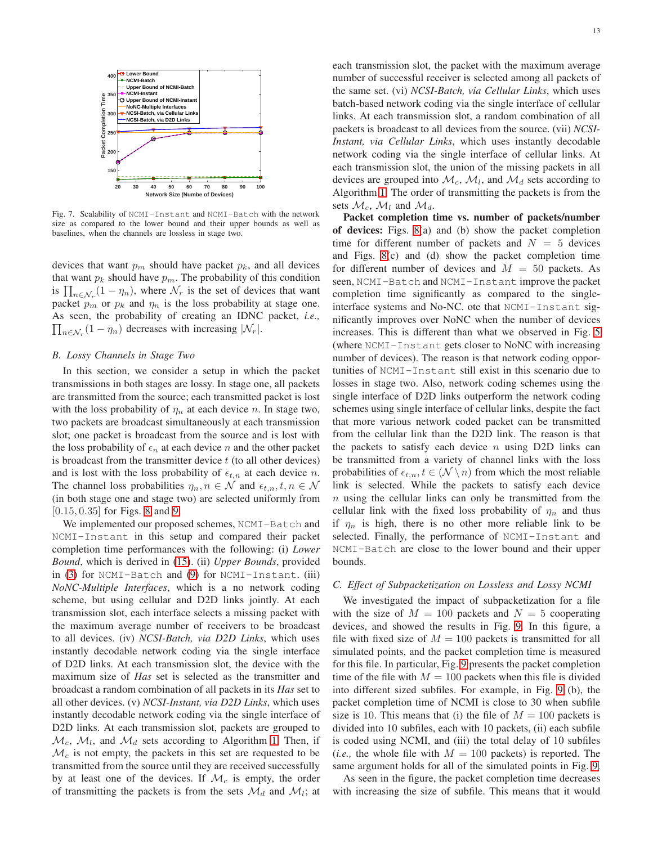

<span id="page-12-0"></span>Fig. 7. Scalability of NCMI-Instant and NCMI-Batch with the network size as compared to the lower bound and their upper bounds as well as baselines, when the channels are lossless in stage two.

devices that want  $p_m$  should have packet  $p_k$ , and all devices that want  $p_k$  should have  $p_m$ . The probability of this condition is  $\prod_{n \in \mathcal{N}_r} (1 - \eta_n)$ , where  $\mathcal{N}_r$  is the set of devices that want packet  $p_m$  or  $p_k$  and  $\eta_n$  is the loss probability at stage one. As seen, the probability of creating an IDNC packet, *i.e.,*  $\prod_{n \in \mathcal{N}_r} (1 - \eta_n)$  decreases with increasing  $|\mathcal{N}_r|$ .

## *B. Lossy Channels in Stage Two*

In this section, we consider a setup in which the packet transmissions in both stages are lossy. In stage one, all packets are transmitted from the source; each transmitted packet is lost with the loss probability of  $\eta_n$  at each device n. In stage two, two packets are broadcast simultaneously at each transmission slot; one packet is broadcast from the source and is lost with the loss probability of  $\epsilon_n$  at each device n and the other packet is broadcast from the transmitter device  $t$  (to all other devices) and is lost with the loss probability of  $\epsilon_{t,n}$  at each device n. The channel loss probabilities  $\eta_n, n \in \mathcal{N}$  and  $\epsilon_{t,n}, t, n \in \mathcal{N}$ (in both stage one and stage two) are selected uniformly from [0.15, 0.35] for Figs. [8](#page-13-1) and [9.](#page-13-2)

We implemented our proposed schemes, NCMI-Batch and NCMI-Instant in this setup and compared their packet completion time performances with the following: (i) *Lower Bound*, which is derived in [\(15\)](#page-10-3). (ii) *Upper Bounds*, provided in [\(3\)](#page-8-0) for NCMI-Batch and [\(9\)](#page-9-3) for NCMI-Instant. (iii) *NoNC-Multiple Interfaces*, which is a no network coding scheme, but using cellular and D2D links jointly. At each transmission slot, each interface selects a missing packet with the maximum average number of receivers to be broadcast to all devices. (iv) *NCSI-Batch, via D2D Links*, which uses instantly decodable network coding via the single interface of D2D links. At each transmission slot, the device with the maximum size of *Has* set is selected as the transmitter and broadcast a random combination of all packets in its *Has* set to all other devices. (v) *NCSI-Instant, via D2D Links*, which uses instantly decodable network coding via the single interface of D<sub>2</sub>D links. At each transmission slot, packets are grouped to  $\mathcal{M}_c$ ,  $\mathcal{M}_l$ , and  $\mathcal{M}_d$  sets according to Algorithm [1.](#page-4-0) Then, if  $\mathcal{M}_c$  is not empty, the packets in this set are requested to be transmitted from the source until they are received successfully by at least one of the devices. If  $\mathcal{M}_c$  is empty, the order of transmitting the packets is from the sets  $\mathcal{M}_d$  and  $\mathcal{M}_l$ ; at each transmission slot, the packet with the maximum average number of successful receiver is selected among all packets of the same set. (vi) *NCSI-Batch, via Cellular Links*, which uses batch-based network coding via the single interface of cellular links. At each transmission slot, a random combination of all packets is broadcast to all devices from the source. (vii) *NCSI-Instant, via Cellular Links*, which uses instantly decodable network coding via the single interface of cellular links. At each transmission slot, the union of the missing packets in all devices are grouped into  $\mathcal{M}_c$ ,  $\mathcal{M}_l$ , and  $\mathcal{M}_d$  sets according to Algorithm [1.](#page-4-0) The order of transmitting the packets is from the sets  $\mathcal{M}_c$ ,  $\mathcal{M}_l$  and  $\mathcal{M}_d$ .

Packet completion time vs. number of packets/number of devices: Figs. [8\(](#page-13-1)a) and (b) show the packet completion time for different number of packets and  $N = 5$  devices and Figs. [8\(](#page-13-1)c) and (d) show the packet completion time for different number of devices and  $M = 50$  packets. As seen, NCMI-Batch and NCMI-Instant improve the packet completion time significantly as compared to the singleinterface systems and No-NC. ote that NCMI-Instant significantly improves over NoNC when the number of devices increases. This is different than what we observed in Fig. [5](#page-11-1) (where NCMI-Instant gets closer to NoNC with increasing number of devices). The reason is that network coding opportunities of NCMI-Instant still exist in this scenario due to losses in stage two. Also, network coding schemes using the single interface of D2D links outperform the network coding schemes using single interface of cellular links, despite the fact that more various network coded packet can be transmitted from the cellular link than the D2D link. The reason is that the packets to satisfy each device  $n$  using D2D links can be transmitted from a variety of channel links with the loss probabilities of  $\epsilon_{t,n}$ ,  $t \in (\mathcal{N} \setminus n)$  from which the most reliable link is selected. While the packets to satisfy each device  $n$  using the cellular links can only be transmitted from the cellular link with the fixed loss probability of  $\eta_n$  and thus if  $\eta_n$  is high, there is no other more reliable link to be selected. Finally, the performance of NCMI-Instant and NCMI-Batch are close to the lower bound and their upper bounds.

## *C. Effect of Subpacketization on Lossless and Lossy NCMI*

We investigated the impact of subpacketization for a file with the size of  $M = 100$  packets and  $N = 5$  cooperating devices, and showed the results in Fig. [9.](#page-13-2) In this figure, a file with fixed size of  $M = 100$  packets is transmitted for all simulated points, and the packet completion time is measured for this file. In particular, Fig. [9](#page-13-2) presents the packet completion time of the file with  $M = 100$  packets when this file is divided into different sized subfiles. For example, in Fig. [9](#page-13-2) (b), the packet completion time of NCMI is close to 30 when subfile size is 10. This means that (i) the file of  $M = 100$  packets is divided into 10 subfiles, each with 10 packets, (ii) each subfile is coded using NCMI, and (iii) the total delay of 10 subfiles (*i.e.*, the whole file with  $M = 100$  packets) is reported. The same argument holds for all of the simulated points in Fig. [9.](#page-13-2)

As seen in the figure, the packet completion time decreases with increasing the size of subfile. This means that it would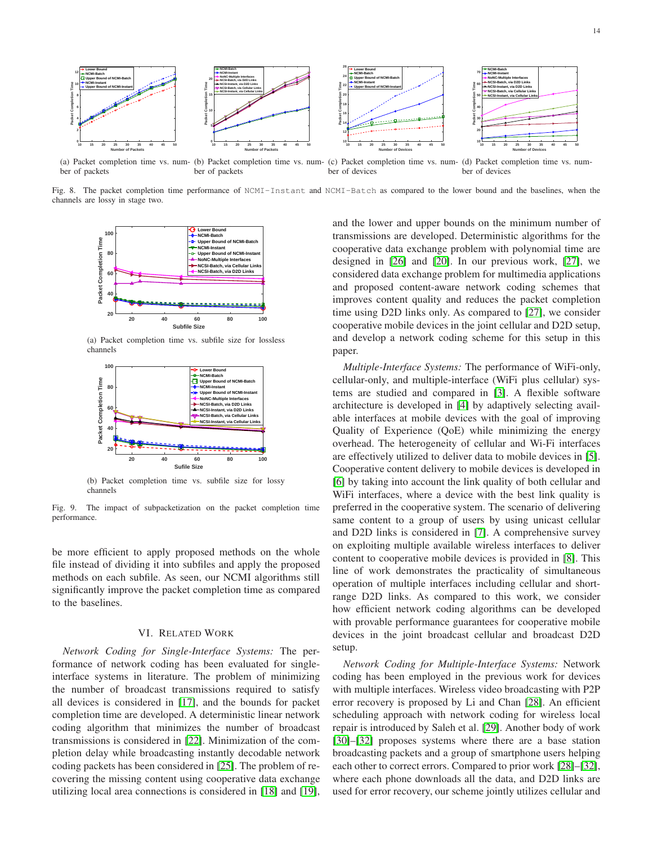

(a) Packet completion time vs. num- (b) Packet completion time vs. num- (c) Packet completion time vs. num- (d) Packet completion time vs. number of packets ber of packets ber of devices ber of devices

Fig. 8. The packet completion time performance of NCMI-Instant and NCMI-Batch as compared to the lower bound and the baselines, when the channels are lossy in stage two.

<span id="page-13-1"></span>

(a) Packet completion time vs. subfile size for lossless channels



<span id="page-13-2"></span>(b) Packet completion time vs. subfile size for lossy channels

Fig. 9. The impact of subpacketization on the packet completion time performance.

be more efficient to apply proposed methods on the whole file instead of dividing it into subfiles and apply the proposed methods on each subfile. As seen, our NCMI algorithms still significantly improve the packet completion time as compared to the baselines.

## VI. RELATED WORK

<span id="page-13-0"></span>*Network Coding for Single-Interface Systems:* The performance of network coding has been evaluated for singleinterface systems in literature. The problem of minimizing the number of broadcast transmissions required to satisfy all devices is considered in [\[17\]](#page-14-13), and the bounds for packet completion time are developed. A deterministic linear network coding algorithm that minimizes the number of broadcast transmissions is considered in [\[22\]](#page-14-6). Minimization of the completion delay while broadcasting instantly decodable network coding packets has been considered in [\[25\]](#page-14-12). The problem of recovering the missing content using cooperative data exchange utilizing local area connections is considered in [\[18\]](#page-14-14) and [\[19\]](#page-14-15), and the lower and upper bounds on the minimum number of transmissions are developed. Deterministic algorithms for the cooperative data exchange problem with polynomial time are designed in [\[26\]](#page-14-16) and [\[20\]](#page-14-17). In our previous work, [\[27\]](#page-14-18), we considered data exchange problem for multimedia applications and proposed content-aware network coding schemes that improves content quality and reduces the packet completion time using D2D links only. As compared to [\[27\]](#page-14-18), we consider cooperative mobile devices in the joint cellular and D2D setup, and develop a network coding scheme for this setup in this paper.

*Multiple-Interface Systems:* The performance of WiFi-only, cellular-only, and multiple-interface (WiFi plus cellular) systems are studied and compared in [\[3\]](#page-14-2). A flexible software architecture is developed in [\[4\]](#page-14-19) by adaptively selecting available interfaces at mobile devices with the goal of improving Quality of Experience (QoE) while minimizing the energy overhead. The heterogeneity of cellular and Wi-Fi interfaces are effectively utilized to deliver data to mobile devices in [\[5\]](#page-14-20). Cooperative content delivery to mobile devices is developed in [\[6\]](#page-14-21) by taking into account the link quality of both cellular and WiFi interfaces, where a device with the best link quality is preferred in the cooperative system. The scenario of delivering same content to a group of users by using unicast cellular and D2D links is considered in [\[7\]](#page-14-22). A comprehensive survey on exploiting multiple available wireless interfaces to deliver content to cooperative mobile devices is provided in [\[8\]](#page-14-23). This line of work demonstrates the practicality of simultaneous operation of multiple interfaces including cellular and shortrange D2D links. As compared to this work, we consider how efficient network coding algorithms can be developed with provable performance guarantees for cooperative mobile devices in the joint broadcast cellular and broadcast D2D setup.

*Network Coding for Multiple-Interface Systems:* Network coding has been employed in the previous work for devices with multiple interfaces. Wireless video broadcasting with P2P error recovery is proposed by Li and Chan [\[28\]](#page-14-24). An efficient scheduling approach with network coding for wireless local repair is introduced by Saleh et al. [\[29\]](#page-14-25). Another body of work [\[30\]](#page-14-26)–[\[32\]](#page-14-27) proposes systems where there are a base station broadcasting packets and a group of smartphone users helping each other to correct errors. Compared to prior work [\[28\]](#page-14-24)–[\[32\]](#page-14-27), where each phone downloads all the data, and D2D links are used for error recovery, our scheme jointly utilizes cellular and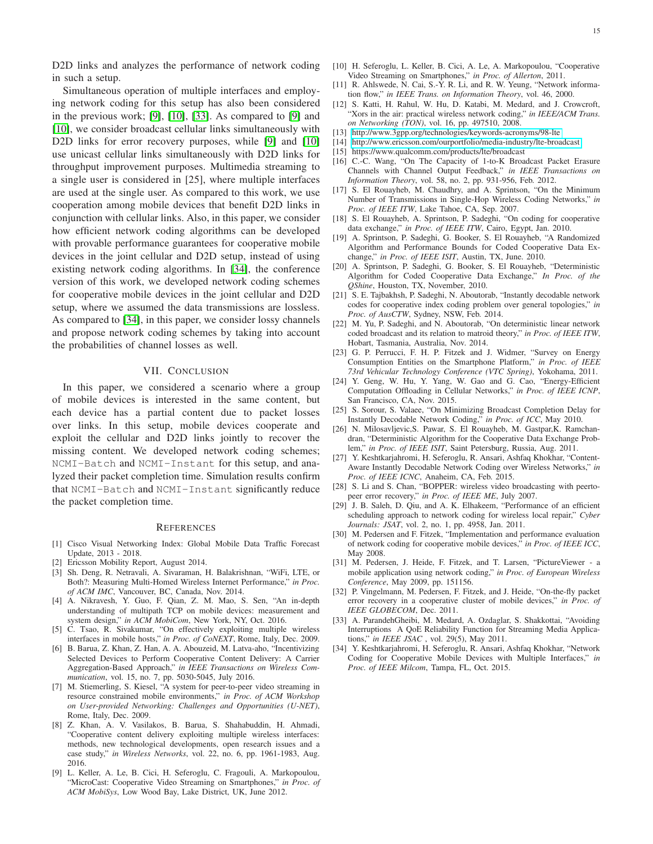D2D links and analyzes the performance of network coding in such a setup.

Simultaneous operation of multiple interfaces and employing network coding for this setup has also been considered in the previous work; [\[9\]](#page-14-28), [\[10\]](#page-14-3), [\[33\]](#page-14-29). As compared to [\[9\]](#page-14-28) and [\[10\]](#page-14-3), we consider broadcast cellular links simultaneously with D2D links for error recovery purposes, while [\[9\]](#page-14-28) and [\[10\]](#page-14-3) use unicast cellular links simultaneously with D2D links for throughput improvement purposes. Multimedia streaming to a single user is considered in [25], where multiple interfaces are used at the single user. As compared to this work, we use cooperation among mobile devices that benefit D2D links in conjunction with cellular links. Also, in this paper, we consider how efficient network coding algorithms can be developed with provable performance guarantees for cooperative mobile devices in the joint cellular and D2D setup, instead of using existing network coding algorithms. In [\[34\]](#page-14-30), the conference version of this work, we developed network coding schemes for cooperative mobile devices in the joint cellular and D2D setup, where we assumed the data transmissions are lossless. As compared to [\[34\]](#page-14-30), in this paper, we consider lossy channels and propose network coding schemes by taking into account the probabilities of channel losses as well.

## VII. CONCLUSION

<span id="page-14-9"></span>In this paper, we considered a scenario where a group of mobile devices is interested in the same content, but each device has a partial content due to packet losses over links. In this setup, mobile devices cooperate and exploit the cellular and D2D links jointly to recover the missing content. We developed network coding schemes; NCMI-Batch and NCMI-Instant for this setup, and analyzed their packet completion time. Simulation results confirm that NCMI-Batch and NCMI-Instant significantly reduce the packet completion time.

#### **REFERENCES**

- <span id="page-14-0"></span>[1] Cisco Visual Networking Index: Global Mobile Data Traffic Forecast Update, 2013 - 2018.
- <span id="page-14-2"></span><span id="page-14-1"></span>[2] Ericsson Mobility Report, August 2014.
- [3] Sh. Deng, R. Netravali, A. Sivaraman, H. Balakrishnan, "WiFi, LTE, or Both?: Measuring Multi-Homed Wireless Internet Performance," *in Proc. of ACM IMC*, Vancouver, BC, Canada, Nov. 2014.
- <span id="page-14-19"></span>[4] A. Nikravesh, Y. Guo, F. Qian, Z. M. Mao, S. Sen, "An in-depth understanding of multipath TCP on mobile devices: measurement and system design," *in ACM MobiCom*, New York, NY, Oct. 2016.
- <span id="page-14-20"></span>[5] C. Tsao, R. Sivakumar, "On effectively exploiting multiple wireless interfaces in mobile hosts," *in Proc. of CoNEXT*, Rome, Italy, Dec. 2009.
- <span id="page-14-21"></span>[6] B. Barua, Z. Khan, Z. Han, A. A. Abouzeid, M. Latva-aho, "Incentivizing Selected Devices to Perform Cooperative Content Delivery: A Carrier Aggregation-Based Approach," *in IEEE Transactions on Wireless Communication*, vol. 15, no. 7, pp. 5030-5045, July 2016.
- <span id="page-14-22"></span>[7] M. Stiemerling, S. Kiesel, "A system for peer-to-peer video streaming in resource constrained mobile environments," *in Proc. of ACM Workshop on User-provided Networking: Challenges and Opportunities (U-NET)*, Rome, Italy, Dec. 2009.
- <span id="page-14-23"></span>[8] Z. Khan, A. V. Vasilakos, B. Barua, S. Shahabuddin, H. Ahmadi, "Cooperative content delivery exploiting multiple wireless interfaces: methods, new technological developments, open research issues and a case study," *in Wireless Networks*, vol. 22, no. 6, pp. 1961-1983, Aug. 2016.
- <span id="page-14-28"></span>[9] L. Keller, A. Le, B. Cici, H. Seferoglu, C. Fragouli, A. Markopoulou, "MicroCast: Cooperative Video Streaming on Smartphones," *in Proc. of ACM MobiSys*, Low Wood Bay, Lake District, UK, June 2012.
- <span id="page-14-3"></span>[10] H. Seferoglu, L. Keller, B. Cici, A. Le, A. Markopoulou, "Cooperative Video Streaming on Smartphones," *in Proc. of Allerton*, 2011.
- [11] R. Ahlswede, N. Cai, S.-Y. R. Li, and R. W. Yeung, "Network information flow," *in IEEE Trans. on Information Theory*, vol. 46, 2000.
- <span id="page-14-4"></span>[12] S. Katti, H. Rahul, W. Hu, D. Katabi, M. Medard, and J. Crowcroft, "Xors in the air: practical wireless network coding," *in IEEE/ACM Trans. on Networking (TON)*, vol. 16, pp. 497510, 2008.
- <span id="page-14-7"></span>[13]<http://www.3gpp.org/technologies/keywords-acronyms/98-lte>
- <span id="page-14-8"></span>[14]<http://www.ericsson.com/ourportfolio/media-industry/lte-broadcast>
- <span id="page-14-5"></span>[15] https://www.qualcomm.com/products/lte/broadcast
- [16] C.-C. Wang, "On The Capacity of 1-to-K Broadcast Packet Erasure Channels with Channel Output Feedback," *in IEEE Transactions on Information Theory*, vol. 58, no. 2, pp. 931-956, Feb. 2012.
- <span id="page-14-13"></span>[17] S. El Rouayheb, M. Chaudhry, and A. Sprintson, "On the Minimum Number of Transmissions in Single-Hop Wireless Coding Networks," *in Proc. of IEEE ITW*, Lake Tahoe, CA, Sep. 2007.
- <span id="page-14-14"></span>[18] S. El Rouayheb, A. Sprintson, P. Sadeghi, "On coding for cooperative data exchange," *in Proc. of IEEE ITW*, Cairo, Egypt, Jan. 2010.
- <span id="page-14-15"></span>[19] A. Sprintson, P. Sadeghi, G. Booker, S. El Rouayheb, "A Randomized Algorithm and Performance Bounds for Coded Cooperative Data Exchange," *in Proc. of IEEE ISIT*, Austin, TX, June. 2010.
- <span id="page-14-17"></span>[20] A. Sprintson, P. Sadeghi, G. Booker, S. El Rouayheb, "Deterministic Algorithm for Coded Cooperative Data Exchange," *In Proc. of the QShine*, Houston, TX, November, 2010.
- [21] S. E. Tajbakhsh, P. Sadeghi, N. Aboutorab, "Instantly decodable network codes for cooperative index coding problem over general topologies," *in Proc. of AusCTW*, Sydney, NSW, Feb. 2014.
- <span id="page-14-6"></span>[22] M. Yu, P. Sadeghi, and N. Aboutorab, "On deterministic linear network coded broadcast and its relation to matroid theory," *in Proc. of IEEE ITW*, Hobart, Tasmania, Australia, Nov. 2014.
- <span id="page-14-10"></span>[23] G. P. Perrucci, F. H. P. Fitzek and J. Widmer, "Survey on Energy Consumption Entities on the Smartphone Platform," *in Proc. of IEEE 73rd Vehicular Technology Conference (VTC Spring)*, Yokohama, 2011.
- <span id="page-14-11"></span>[24] Y. Geng, W. Hu, Y. Yang, W. Gao and G. Cao, "Energy-Efficient Computation Offloading in Cellular Networks," *in Proc. of IEEE ICNP*, San Francisco, CA, Nov. 2015.
- <span id="page-14-12"></span>[25] S. Sorour, S. Valaee, "On Minimizing Broadcast Completion Delay for Instantly Decodable Network Coding," *in Proc. of ICC*, May 2010.
- <span id="page-14-16"></span>[26] N. Milosavljevic,S. Pawar, S. El Rouayheb, M. Gastpar,K. Ramchandran, "Deterministic Algorithm for the Cooperative Data Exchange Problem," *in Proc. of IEEE ISIT*, Saint Petersburg, Russia, Aug. 2011.
- <span id="page-14-18"></span>[27] Y. Keshtkarjahromi, H. Seferoglu, R. Ansari, Ashfaq Khokhar, "Content-Aware Instantly Decodable Network Coding over Wireless Networks," *in Proc. of IEEE ICNC*, Anaheim, CA, Feb. 2015.
- <span id="page-14-24"></span>[28] S. Li and S. Chan, "BOPPER: wireless video broadcasting with peertopeer error recovery," *in Proc. of IEEE ME*, July 2007.
- <span id="page-14-25"></span>[29] J. B. Saleh, D. Qiu, and A. K. Elhakeem, "Performance of an efficient scheduling approach to network coding for wireless local repair," *Cyber Journals: JSAT*, vol. 2, no. 1, pp. 4958, Jan. 2011.
- <span id="page-14-26"></span>[30] M. Pedersen and F. Fitzek, "Implementation and performance evaluation of network coding for cooperative mobile devices," *in Proc. of IEEE ICC*, May 2008.
- [31] M. Pedersen, J. Heide, F. Fitzek, and T. Larsen, "PictureViewer a mobile application using network coding," *in Proc. of European Wireless Conference*, May 2009, pp. 151156.
- <span id="page-14-27"></span>[32] P. Vingelmann, M. Pedersen, F. Fitzek, and J. Heide, "On-the-fly packet error recovery in a cooperative cluster of mobile devices," *in Proc. of IEEE GLOBECOM*, Dec. 2011.
- <span id="page-14-29"></span>[33] A. ParandehGheibi, M. Medard, A. Ozdaglar, S. Shakkottai, "Avoiding Interruptions A QoE Reliability Function for Streaming Media Applications," *in IEEE JSAC* , vol. 29(5), May 2011.
- <span id="page-14-30"></span>[34] Y. Keshtkarjahromi, H. Seferoglu, R. Ansari, Ashfaq Khokhar, "Network Coding for Cooperative Mobile Devices with Multiple Interfaces," *in Proc. of IEEE Milcom*, Tampa, FL, Oct. 2015.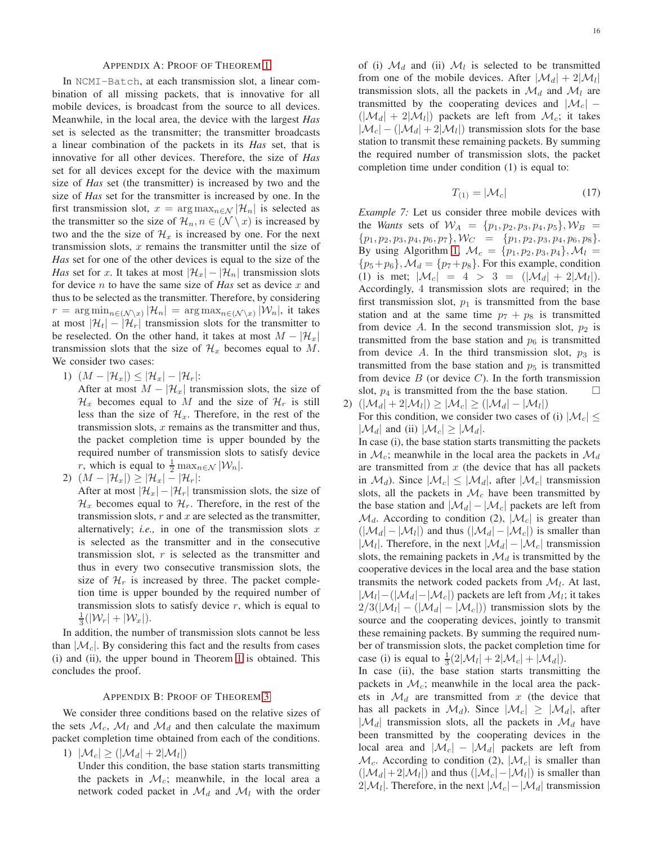In NCMI-Batch, at each transmission slot, a linear combination of all missing packets, that is innovative for all mobile devices, is broadcast from the source to all devices. Meanwhile, in the local area, the device with the largest *Has* set is selected as the transmitter; the transmitter broadcasts a linear combination of the packets in its *Has* set, that is innovative for all other devices. Therefore, the size of *Has* set for all devices except for the device with the maximum size of *Has* set (the transmitter) is increased by two and the size of *Has* set for the transmitter is increased by one. In the first transmission slot,  $x = \arg \max_{n \in \mathcal{N}} |\mathcal{H}_n|$  is selected as the transmitter so the size of  $\mathcal{H}_n, n \in (\mathcal{N} \setminus \mathcal{X})$  is increased by two and the the size of  $\mathcal{H}_x$  is increased by one. For the next transmission slots,  $x$  remains the transmitter until the size of *Has* set for one of the other devices is equal to the size of the *Has* set for x. It takes at most  $|\mathcal{H}_x| - |\mathcal{H}_n|$  transmission slots for device n to have the same size of *Has* set as device x and thus to be selected as the transmitter. Therefore, by considering  $r = \arg\min_{n \in (\mathcal{N} \setminus x)} |\mathcal{H}_n| = \arg\max_{n \in (\mathcal{N} \setminus x)} |\mathcal{W}_n|,$  it takes at most  $|\mathcal{H}_t| - |\mathcal{H}_r|$  transmission slots for the transmitter to be reselected. On the other hand, it takes at most  $M - |\mathcal{H}_x|$ transmission slots that the size of  $\mathcal{H}_x$  becomes equal to M. We consider two cases:

1)  $(M - |\mathcal{H}_x|) \leq |\mathcal{H}_x| - |\mathcal{H}_r|$ :

After at most  $M - |\mathcal{H}_x|$  transmission slots, the size of  $\mathcal{H}_x$  becomes equal to M and the size of  $\mathcal{H}_r$  is still less than the size of  $\mathcal{H}_x$ . Therefore, in the rest of the transmission slots,  $x$  remains as the transmitter and thus, the packet completion time is upper bounded by the required number of transmission slots to satisfy device r, which is equal to  $\frac{1}{2} \max_{n \in \mathcal{N}} |\mathcal{W}_n|$ .

2)  $(M - |\mathcal{H}_x|) \ge |\mathcal{H}_x| - |\mathcal{H}_r|$ :

After at most  $|\mathcal{H}_x| - |\mathcal{H}_r|$  transmission slots, the size of  $\mathcal{H}_x$  becomes equal to  $\mathcal{H}_r$ . Therefore, in the rest of the transmission slots,  $r$  and  $x$  are selected as the transmitter, alternatively; *i.e.*, in one of the transmission slots  $x$ is selected as the transmitter and in the consecutive transmission slot,  $r$  is selected as the transmitter and thus in every two consecutive transmission slots, the size of  $\mathcal{H}_r$  is increased by three. The packet completion time is upper bounded by the required number of transmission slots to satisfy device  $r$ , which is equal to  $\frac{1}{3}(|\mathcal{W}_r| + |\mathcal{W}_x|).$ 

In addition, the number of transmission slots cannot be less than  $|\mathcal{M}_c|$ . By considering this fact and the results from cases (i) and (ii), the upper bound in Theorem [1](#page-3-0) is obtained. This concludes the proof.

## APPENDIX B: PROOF OF THEOREM [3](#page-5-3)

We consider three conditions based on the relative sizes of the sets  $\mathcal{M}_c$ ,  $\mathcal{M}_l$  and  $\mathcal{M}_d$  and then calculate the maximum packet completion time obtained from each of the conditions.

1)  $|\mathcal{M}_c| \geq (|\mathcal{M}_d| + 2|\mathcal{M}_l|)$ 

Under this condition, the base station starts transmitting the packets in  $\mathcal{M}_c$ ; meanwhile, in the local area a network coded packet in  $\mathcal{M}_d$  and  $\mathcal{M}_l$  with the order

of (i)  $\mathcal{M}_d$  and (ii)  $\mathcal{M}_l$  is selected to be transmitted from one of the mobile devices. After  $|\mathcal{M}_d| + 2|\mathcal{M}_l|$ transmission slots, all the packets in  $\mathcal{M}_d$  and  $\mathcal{M}_l$  are transmitted by the cooperating devices and  $|\mathcal{M}_c|$  –  $(|\mathcal{M}_d| + 2|\mathcal{M}_l|)$  packets are left from  $\mathcal{M}_c$ ; it takes  $|\mathcal{M}_c| - (|\mathcal{M}_d| + 2|\mathcal{M}_l|)$  transmission slots for the base station to transmit these remaining packets. By summing the required number of transmission slots, the packet completion time under condition (1) is equal to:

$$
T_{(1)} = |\mathcal{M}_c| \tag{17}
$$

*Example 7:* Let us consider three mobile devices with the *Wants* sets of  $W_A = \{p_1, p_2, p_3, p_4, p_5\}, W_B =$  ${p_1, p_2, p_3, p_4, p_6, p_7}, \mathcal{W}_C = {p_1, p_2, p_3, p_4, p_6, p_8}.$ By using Algorithm [1,](#page-4-0)  $\mathcal{M}_c = \{p_1, p_2, p_3, p_4\}, \mathcal{M}_l =$  $\{p_5+p_6\},\mathcal{M}_d=\{p_7+p_8\}.$  For this example, condition (1) is met;  $|\mathcal{M}_c| = 4 > 3 = (|\mathcal{M}_d| + 2|\mathcal{M}_l|).$ Accordingly, 4 transmission slots are required; in the first transmission slot,  $p_1$  is transmitted from the base station and at the same time  $p_7 + p_8$  is transmitted from device A. In the second transmission slot,  $p_2$  is transmitted from the base station and  $p_6$  is transmitted from device A. In the third transmission slot,  $p_3$  is transmitted from the base station and  $p_5$  is transmitted from device  $B$  (or device  $C$ ). In the forth transmission slot,  $p_4$  is transmitted from the the base station.  $\Box$ 

2)  $(|\mathcal{M}_d| + 2|\mathcal{M}_l|) \geq |\mathcal{M}_c| \geq (|\mathcal{M}_d| - |\mathcal{M}_l|)$ For this condition, we consider two cases of (i)  $|M_c| \le$  $|\mathcal{M}_d|$  and (ii)  $|\mathcal{M}_c| \geq |\mathcal{M}_d|$ .

In case (i), the base station starts transmitting the packets in  $\mathcal{M}_c$ ; meanwhile in the local area the packets in  $\mathcal{M}_d$ are transmitted from  $x$  (the device that has all packets in  $\mathcal{M}_d$ ). Since  $|\mathcal{M}_c| \leq |\mathcal{M}_d|$ , after  $|\mathcal{M}_c|$  transmission slots, all the packets in  $\mathcal{M}_c$  have been transmitted by the base station and  $|\mathcal{M}_d| - |\mathcal{M}_c|$  packets are left from  $\mathcal{M}_d$ . According to condition (2),  $|\mathcal{M}_c|$  is greater than  $(|\mathcal{M}_d| - |\mathcal{M}_l|)$  and thus  $(|\mathcal{M}_d| - |\mathcal{M}_c|)$  is smaller than  $|\mathcal{M}_l|$ . Therefore, in the next  $|\mathcal{M}_d| - |\mathcal{M}_c|$  transmission slots, the remaining packets in  $\mathcal{M}_d$  is transmitted by the cooperative devices in the local area and the base station transmits the network coded packets from  $\mathcal{M}_l$ . At last,  $|\mathcal{M}_l|$  –  $(|\mathcal{M}_d| - |\mathcal{M}_c|)$  packets are left from  $\mathcal{M}_l$ ; it takes  $2/3(|\mathcal{M}_l| - (|\mathcal{M}_d| - |\mathcal{M}_c|))$  transmission slots by the source and the cooperating devices, jointly to transmit these remaining packets. By summing the required number of transmission slots, the packet completion time for case (i) is equal to  $\frac{1}{3}(2|\mathcal{M}_l| + 2|\mathcal{M}_c| + |\mathcal{M}_d|)$ .

In case (ii), the base station starts transmitting the packets in  $\mathcal{M}_c$ ; meanwhile in the local area the packets in  $\mathcal{M}_d$  are transmitted from x (the device that has all packets in  $\mathcal{M}_d$ ). Since  $|\mathcal{M}_c| \geq |\mathcal{M}_d|$ , after  $|\mathcal{M}_d|$  transmission slots, all the packets in  $\mathcal{M}_d$  have been transmitted by the cooperating devices in the local area and  $|\mathcal{M}_c| - |\mathcal{M}_d|$  packets are left from  $\mathcal{M}_c$ . According to condition (2),  $|\mathcal{M}_c|$  is smaller than  $(|\mathcal{M}_d| + 2|\mathcal{M}_l|)$  and thus  $(|\mathcal{M}_c| - |\mathcal{M}_l|)$  is smaller than  $2|\mathcal{M}_l|$ . Therefore, in the next  $|\mathcal{M}_c| - |\mathcal{M}_d|$  transmission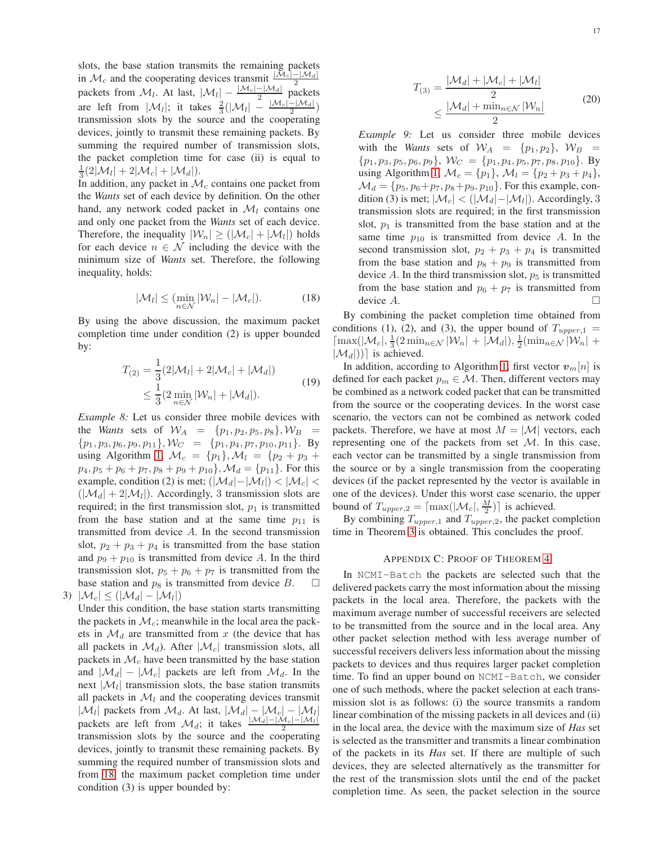slots, the base station transmits the remaining packets in  $\mathcal{M}_c$  and the cooperating devices transmit  $\frac{|\mathcal{M}_c| - |\mathcal{M}_d|}{2}$ packets from  $\mathcal{M}_l$ . At last,  $|\mathcal{M}_l| - \frac{|\mathcal{M}_c| - |\mathcal{M}_d|}{2}$  packets are left from  $|\mathcal{M}_l|$ ; it takes  $\frac{2}{3}(|\mathcal{M}_l| - \frac{|\mathcal{M}_c| - |\mathcal{M}_d|}{2})$ transmission slots by the source and the cooperating devices, jointly to transmit these remaining packets. By summing the required number of transmission slots, the packet completion time for case (ii) is equal to  $\frac{1}{3}(2|\mathcal{M}_{l}|+2|\mathcal{M}_{c}|+|\mathcal{M}_{d}|).$ 

In addition, any packet in  $\mathcal{M}_c$  contains one packet from the *Wants* set of each device by definition. On the other hand, any network coded packet in  $\mathcal{M}_l$  contains one and only one packet from the *Wants* set of each device. Therefore, the inequality  $|\mathcal{W}_n| \geq (|\mathcal{M}_c| + |\mathcal{M}_l|)$  holds for each device  $n \in \mathcal{N}$  including the device with the minimum size of *Wants* set. Therefore, the following inequality, holds:

<span id="page-16-0"></span>
$$
|\mathcal{M}_l| \le (\min_{n \in \mathcal{N}} |\mathcal{W}_n| - |\mathcal{M}_c|). \tag{18}
$$

By using the above discussion, the maximum packet completion time under condition (2) is upper bounded by:

$$
T_{(2)} = \frac{1}{3} (2|\mathcal{M}_l| + 2|\mathcal{M}_c| + |\mathcal{M}_d|)
$$
  
\n
$$
\leq \frac{1}{3} (2 \min_{n \in \mathcal{N}} |\mathcal{W}_n| + |\mathcal{M}_d|).
$$
 (19)

*Example 8:* Let us consider three mobile devices with the *Wants* sets of  $W_A = \{p_1, p_2, p_5, p_8\}, W_B =$  ${p_1, p_3, p_6, p_9, p_{11}}, \mathcal{W}_C = {p_1, p_4, p_7, p_{10}, p_{11}}.$  By using Algorithm [1,](#page-4-0)  $\mathcal{M}_c = \{p_1\}, \mathcal{M}_l = \{p_2 + p_3 +$  $p_4, p_5 + p_6 + p_7, p_8 + p_9 + p_{10}$ ,  $\mathcal{M}_d = \{p_{11}\}.$  For this example, condition (2) is met;  $(|\mathcal{M}_d| - |\mathcal{M}_l|) < |\mathcal{M}_c| <$  $(|\mathcal{M}_d| + 2|\mathcal{M}_l|)$ . Accordingly, 3 transmission slots are required; in the first transmission slot,  $p_1$  is transmitted from the base station and at the same time  $p_{11}$  is transmitted from device A. In the second transmission slot,  $p_2 + p_3 + p_4$  is transmitted from the base station and  $p_9 + p_{10}$  is transmitted from device A. In the third transmission slot,  $p_5 + p_6 + p_7$  is transmitted from the base station and  $p_8$  is transmitted from device B.  $\Box$ 3)  $|\mathcal{M}_c| \leq (|\mathcal{M}_d| - |\mathcal{M}_l|)$ 

Under this condition, the base station starts transmitting the packets in  $\mathcal{M}_c$ ; meanwhile in the local area the packets in  $\mathcal{M}_d$  are transmitted from x (the device that has all packets in  $\mathcal{M}_d$ ). After  $|\mathcal{M}_c|$  transmission slots, all packets in  $\mathcal{M}_c$  have been transmitted by the base station and  $|\mathcal{M}_d| - |\mathcal{M}_c|$  packets are left from  $\mathcal{M}_d$ . In the next  $|\mathcal{M}_l|$  transmission slots, the base station transmits all packets in  $\mathcal{M}_l$  and the cooperating devices transmit  $|\mathcal{M}_l|$  packets from  $\mathcal{M}_d$ . At last,  $|\mathcal{M}_d| - |\mathcal{M}_c| - |\mathcal{M}_l|$ packets are left from  $\mathcal{M}_d$ ; it takes  $\frac{|\mathcal{M}_d| - |\mathcal{M}_c| - |\mathcal{M}_l|}{2}$ transmission slots by the source and the cooperating devices, jointly to transmit these remaining packets. By summing the required number of transmission slots and from [18,](#page-16-0) the maximum packet completion time under condition (3) is upper bounded by:

$$
T_{(3)} = \frac{|\mathcal{M}_d| + |\mathcal{M}_c| + |\mathcal{M}_l|}{2}
$$
  

$$
\leq \frac{|\mathcal{M}_d| + \min_{n \in \mathcal{N}} |\mathcal{W}_n|}{2}
$$
 (20)

*Example 9:* Let us consider three mobile devices with the *Wants* sets of  $W_A = \{p_1, p_2\}$ ,  $W_B =$  $\{p_1, p_3, p_5, p_6, p_9\}, W_C = \{p_1, p_4, p_5, p_7, p_8, p_{10}\}.$  By using Algorithm [1,](#page-4-0)  $\mathcal{M}_c = \{p_1\}, \, \mathcal{M}_l = \{p_2 + p_3 + p_4\},\,$  $\mathcal{M}_d = \{p_5, p_6 + p_7, p_8 + p_9, p_{10}\}.$  For this example, condition (3) is met;  $|\mathcal{M}_c| < (|\mathcal{M}_d| - |\mathcal{M}_l|)$ . Accordingly, 3 transmission slots are required; in the first transmission slot,  $p_1$  is transmitted from the base station and at the same time  $p_{10}$  is transmitted from device A. In the second transmission slot,  $p_2 + p_3 + p_4$  is transmitted from the base station and  $p_8 + p_9$  is transmitted from device A. In the third transmission slot,  $p_5$  is transmitted from the base station and  $p_6 + p_7$  is transmitted from device  $A$ .

By combining the packet completion time obtained from conditions (1), (2), and (3), the upper bound of  $T_{upper,1}$  =  $\left[\max(|\mathcal{M}_c|, \frac{1}{3}(2\min_{n \in \mathcal{N}} |\mathcal{W}_n| + |\mathcal{M}_d|), \frac{1}{2}(\min_{n \in \mathcal{N}} |\mathcal{W}_n| + \right]$  $|\mathcal{M}_d|$ )] is achieved.

In addition, according to Algorithm [1,](#page-4-0) first vector  $v_m[n]$  is defined for each packet  $p_m \in \mathcal{M}$ . Then, different vectors may be combined as a network coded packet that can be transmitted from the source or the cooperating devices. In the worst case scenario, the vectors can not be combined as network coded packets. Therefore, we have at most  $M = |\mathcal{M}|$  vectors, each representing one of the packets from set M. In this case, each vector can be transmitted by a single transmission from the source or by a single transmission from the cooperating devices (if the packet represented by the vector is available in one of the devices). Under this worst case scenario, the upper bound of  $T_{upper,2} = \lceil \max(|\mathcal{M}_c|, \frac{M}{2}) \rceil$  is achieved.

By combining  $T_{upper,1}$  and  $T_{upper,2}$ , the packet completion time in Theorem [3](#page-5-3) is obtained. This concludes the proof.

#### APPENDIX C: PROOF OF THEOREM [4](#page-8-1)

In NCMI-Batch the packets are selected such that the delivered packets carry the most information about the missing packets in the local area. Therefore, the packets with the maximum average number of successful receivers are selected to be transmitted from the source and in the local area. Any other packet selection method with less average number of successful receivers delivers less information about the missing packets to devices and thus requires larger packet completion time. To find an upper bound on NCMI-Batch, we consider one of such methods, where the packet selection at each transmission slot is as follows: (i) the source transmits a random linear combination of the missing packets in all devices and (ii) in the local area, the device with the maximum size of *Has* set is selected as the transmitter and transmits a linear combination of the packets in its *Has* set. If there are multiple of such devices, they are selected alternatively as the transmitter for the rest of the transmission slots until the end of the packet completion time. As seen, the packet selection in the source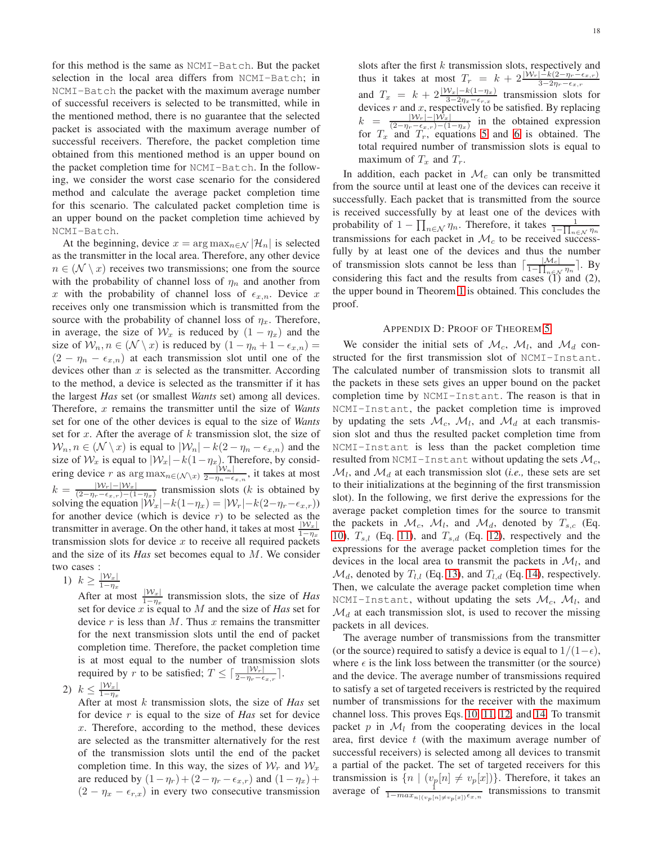for this method is the same as NCMI-Batch. But the packet selection in the local area differs from NCMI-Batch; in NCMI-Batch the packet with the maximum average number of successful receivers is selected to be transmitted, while in the mentioned method, there is no guarantee that the selected packet is associated with the maximum average number of successful receivers. Therefore, the packet completion time obtained from this mentioned method is an upper bound on the packet completion time for NCMI-Batch. In the following, we consider the worst case scenario for the considered method and calculate the average packet completion time for this scenario. The calculated packet completion time is an upper bound on the packet completion time achieved by NCMI-Batch.

At the beginning, device  $x = \arg \max_{n \in \mathcal{N}} |\mathcal{H}_n|$  is selected as the transmitter in the local area. Therefore, any other device  $n \in (\mathcal{N} \setminus \mathcal{X})$  receives two transmissions; one from the source with the probability of channel loss of  $\eta_n$  and another from x with the probability of channel loss of  $\epsilon_{x,n}$ . Device x receives only one transmission which is transmitted from the source with the probability of channel loss of  $\eta_x$ . Therefore, in average, the size of  $\mathcal{W}_x$  is reduced by  $(1 - \eta_x)$  and the size of  $W_n, n \in (N \setminus x)$  is reduced by  $(1 - \eta_n + 1 - \epsilon_{x,n}) =$  $(2 - \eta_n - \epsilon_{x,n})$  at each transmission slot until one of the devices other than  $x$  is selected as the transmitter. According to the method, a device is selected as the transmitter if it has the largest *Has* set (or smallest *Wants* set) among all devices. Therefore, x remains the transmitter until the size of *Wants* set for one of the other devices is equal to the size of *Wants* set for  $x$ . After the average of  $k$  transmission slot, the size of  $W_n, n \in (N \setminus x)$  is equal to  $|W_n| - k(2 - \eta_n - \epsilon_{x,n})$  and the size of  $\mathcal{W}_x$  is equal to  $|\mathcal{W}_x| - k(1-\eta_x)$ . Therefore, by considering device r as  $\arg \max_{n \in (\mathcal{N} \setminus x)} \frac{|\mathcal{W}_n|}{2-n_n-\epsilon}$  $\frac{|Vv_n|}{2-\eta_n-\epsilon_{x,n}}$ , it takes at most  $k = \frac{|W_r| - |W_x|}{(2 - n - \epsilon_{r-1}) - (1)}$  $\frac{|Vv_r|-|Vv_x|}{(2-\eta_r-\epsilon_x,r)-(1-\eta_x)}$  transmission slots (k is obtained by solving the equation  $|\mathcal{W}_x| - k(1-\eta_x) = |\mathcal{W}_r| - k(2-\eta_r - \epsilon_{x,r})$ for another device (which is device  $r$ ) to be selected as the transmitter in average. On the other hand, it takes at most  $\frac{|\mathcal{W}_x|}{1-\eta_x}$ transmission slots for device  $x$  to receive all required packets and the size of its *Has* set becomes equal to M. We consider two cases :

1)  $k \geq \frac{|W_x|}{1-n}$  $1-\eta_x$ 

After at most  $\frac{|\mathcal{W}_x|}{1-\eta_x}$  transmission slots, the size of *Has* set for device x is equal to M and the size of *Has* set for device  $r$  is less than  $M$ . Thus  $x$  remains the transmitter for the next transmission slots until the end of packet completion time. Therefore, the packet completion time is at most equal to the number of transmission slots required by r to be satisfied;  $T \leq \lceil \frac{|\mathcal{W}_r|}{2 - \eta_r - \epsilon_{x,r}} \rceil$ .

2)  $k \leq \frac{|W_x|}{1-n}$  $1-\eta_x$ 

After at most k transmission slots, the size of *Has* set for device r is equal to the size of *Has* set for device x. Therefore, according to the method, these devices are selected as the transmitter alternatively for the rest of the transmission slots until the end of the packet completion time. In this way, the sizes of  $W_r$  and  $W_x$ are reduced by  $(1 - \eta_r) + (2 - \eta_r - \epsilon_{x,r})$  and  $(1 - \eta_x)$  +  $(2 - \eta_x - \epsilon_{r,x})$  in every two consecutive transmission

slots after the first  $k$  transmission slots, respectively and thus it takes at most  $T_r = k + 2 \frac{|W_r| - k(2 - \eta_r - \epsilon_{x,r})}{3 - 2\eta_r - \epsilon_{x,r}}$ and  $T_x = k + 2 \frac{|W_x| - k(1 - \eta_x)}{3 - 2\eta_x - \epsilon_{r,x}}$  transmission slots for devices  $r$  and  $x$ , respectively to be satisfied. By replacing  $k = \frac{|\mathcal{W}_r| - |\mathcal{W}_x|}{(2 - n - \epsilon - \epsilon)^{-1}}$  $\frac{|V_v| - |V_v|}{(2 - \eta_r - \epsilon_{x,r}) - (1 - \eta_x)}$  in the obtained expression for  $T_x$  and  $T_r$ , equations [5](#page-8-2) and [6](#page-8-3) is obtained. The total required number of transmission slots is equal to maximum of  $T_x$  and  $T_r$ .

In addition, each packet in  $\mathcal{M}_c$  can only be transmitted from the source until at least one of the devices can receive it successfully. Each packet that is transmitted from the source is received successfully by at least one of the devices with probability of  $1 - \prod_{n \in \mathcal{N}} \eta_n$ . Therefore, it takes  $\frac{1}{1 - \prod_{n \in \mathcal{N}} \eta_n}$  transmissions for each packet in  $\mathcal{M}_c$  to be received successfully by at least one of the devices and thus the number of transmission slots cannot be less than  $\lceil \frac{|\mathcal{M}_c|}{1 - \prod_{n \in \mathcal{N}} \eta_n} \rceil$ . By considering this fact and the results from cases  $(1)$  and  $(2)$ , the upper bound in Theorem [1](#page-3-0) is obtained. This concludes the proof.

#### APPENDIX D: PROOF OF THEOREM [5](#page-9-4)

We consider the initial sets of  $\mathcal{M}_c$ ,  $\mathcal{M}_l$ , and  $\mathcal{M}_d$  constructed for the first transmission slot of NCMI-Instant. The calculated number of transmission slots to transmit all the packets in these sets gives an upper bound on the packet completion time by NCMI-Instant. The reason is that in NCMI-Instant, the packet completion time is improved by updating the sets  $\mathcal{M}_c$ ,  $\mathcal{M}_l$ , and  $\mathcal{M}_d$  at each transmission slot and thus the resulted packet completion time from NCMI-Instant is less than the packet completion time resulted from NCMI-Instant without updating the sets  $\mathcal{M}_c$ ,  $\mathcal{M}_l$ , and  $\mathcal{M}_d$  at each transmission slot *(i.e., these sets are set* to their initializations at the beginning of the first transmission slot). In the following, we first derive the expressions for the average packet completion times for the source to transmit the packets in  $\mathcal{M}_c$ ,  $\mathcal{M}_l$ , and  $\mathcal{M}_d$ , denoted by  $T_{s,c}$  (Eq. [10\)](#page-9-5),  $T_{s,l}$  (Eq. [11\)](#page-9-6), and  $T_{s,d}$  (Eq. [12\)](#page-9-7), respectively and the expressions for the average packet completion times for the devices in the local area to transmit the packets in  $\mathcal{M}_l$ , and  $\mathcal{M}_d$ , denoted by  $T_{l,l}$  (Eq. [13\)](#page-9-8), and  $T_{l,d}$  (Eq. [14\)](#page-10-5), respectively. Then, we calculate the average packet completion time when  $NCMI-Instant$ , without updating the sets  $\mathcal{M}_c$ ,  $\mathcal{M}_l$ , and  $\mathcal{M}_d$  at each transmission slot, is used to recover the missing packets in all devices.

The average number of transmissions from the transmitter (or the source) required to satisfy a device is equal to  $1/(1-\epsilon)$ , where  $\epsilon$  is the link loss between the transmitter (or the source) and the device. The average number of transmissions required to satisfy a set of targeted receivers is restricted by the required number of transmissions for the receiver with the maximum channel loss. This proves Eqs. [10,](#page-9-5) [11,](#page-9-6) [12,](#page-9-7) and [14.](#page-10-5) To transmit packet p in  $\mathcal{M}_l$  from the cooperating devices in the local area, first device  $t$  (with the maximum average number of successful receivers) is selected among all devices to transmit a partial of the packet. The set of targeted receivers for this transmission is  $\{n \mid (v_p[n] \neq v_p[x])\}$ . Therefore, it takes an average of  $\frac{1}{1 - max_{n|(v_p[n] \neq v_p[x])} \epsilon_{x,n}}$  transmissions to transmit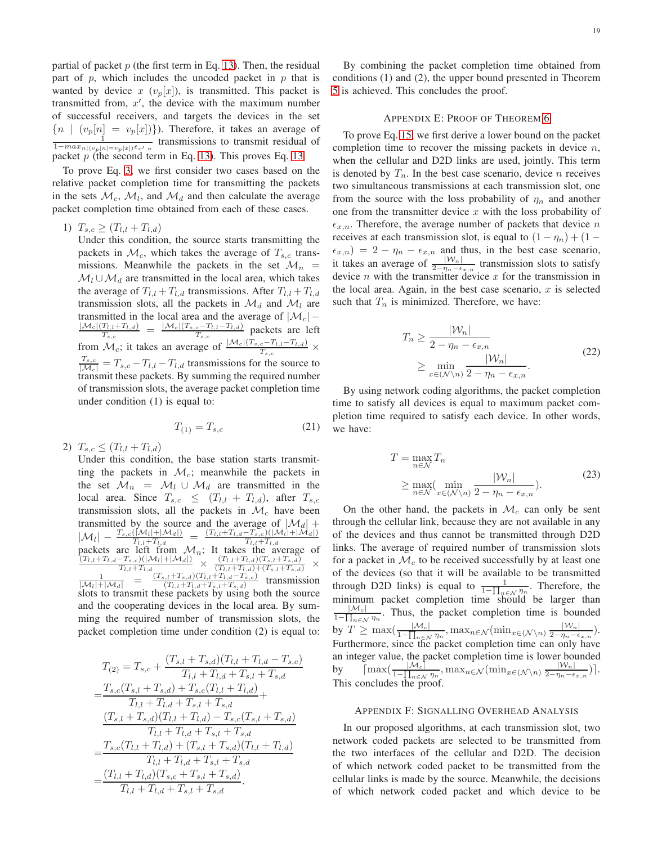partial of packet  $p$  (the first term in Eq. [13\)](#page-9-8). Then, the residual part of p, which includes the uncoded packet in  $p$  that is wanted by device x  $(v_p[x])$ , is transmitted. This packet is transmitted from,  $x'$ , the device with the maximum number of successful receivers, and targets the devices in the set  ${n \mid (v_p[n] = v_p[x])}.$  Therefore, it takes an average of  $\frac{1}{1 - max_{n|(v_p[n] = v_p[x]) \epsilon_{x',n}}}$  transmissions to transmit residual of packet  $p$  (the second term in Eq. [13\)](#page-9-8). This proves Eq. [13.](#page-9-8)

To prove Eq. [3,](#page-8-0) we first consider two cases based on the relative packet completion time for transmitting the packets in the sets  $\mathcal{M}_c$ ,  $\mathcal{M}_l$ , and  $\mathcal{M}_d$  and then calculate the average packet completion time obtained from each of these cases.

1)  $T_{s,c} \geq (T_{l,l} + T_{l,d})$ 

Under this condition, the source starts transmitting the packets in  $\mathcal{M}_c$ , which takes the average of  $T_{s,c}$  transmissions. Meanwhile the packets in the set  $\mathcal{M}_n$  =  $\mathcal{M}_l \cup \mathcal{M}_d$  are transmitted in the local area, which takes the average of  $T_{l,l} + T_{l,d}$  transmissions. After  $T_{l,l} + T_{l,d}$ transmission slots, all the packets in  $\mathcal{M}_d$  and  $\mathcal{M}_l$  are transmitted in the local area and the average of  $|\mathcal{M}_c|$  –  $|\mathcal{M}_c|(T_{l,l}+T_{l,d})$  $\frac{T_{l,l}+T_{l,d})}{T_{s,c}} = \frac{|\mathcal{M}_c|(T_{s,c}-T_{l,l}-T_{l,d})}{T_{s,c}}$  $\frac{c - I_{l,l} - I_{l,d}}{T_{s,c}}$  packets are left from  $\mathcal{M}_c$ ; it takes an average of  $\frac{|\mathcal{M}_c|(T_{s,c}-T_{l,t}-T_{l,d})}{T_{s,c}} \times$  $\frac{T_{s,c}}{|M_c|} = T_{s,c} - T_{l,l} - T_{l,d}$  transmissions for the source to transmit these packets. By summing the required number of transmission slots, the average packet completion time under condition (1) is equal to:

$$
T_{(1)} = T_{s,c} \tag{21}
$$

2)  $T_{s,c} \leq (T_{l,l} + T_{l,d})$ 

Under this condition, the base station starts transmitting the packets in  $\mathcal{M}_c$ ; meanwhile the packets in the set  $\mathcal{M}_n = \mathcal{M}_l \cup \mathcal{M}_d$  are transmitted in the local area. Since  $T_{s,c} \le (T_{l,l} + T_{l,d})$ , after  $T_{s,c}$ transmission slots, all the packets in  $\mathcal{M}_c$  have been transmitted by the source and the average of  $|\mathcal{M}_d|$  +  $|M_l| = \frac{I_{s,c}(|\mathcal{M}_l|+|\mathcal{M}_d|)}{T_{l,l}+T_{l,d}} = \frac{(I_{l,l}+I_{l,d}-T_{s,c})(|\mathcal{M}_l|+|\mathcal{M}_d|)}{T_{l,l}+T_{l,d}}$ <br>packets are left from  $\mathcal{M}_n$ ; It takes the average of<br> $(T_{l,l}+T_{l,d}-T_{s,c})(|\mathcal{M}_l|+|\mathcal{M}_d|) \times (T_{l,l}+T_{l,d})(T_{s,l}+T_{s,d}) \times$  $\left| -\frac{T_{s,c}(|\mathcal{M}_l|+|\mathcal{M}_d|)}{T_{s,l}+T_{s,l}} \right| = \frac{(T_{l,l}+T_{l,d}-T_{s,c})(|\mathcal{M}_l|+|\mathcal{M}_d|)}{T_{s,l}+T_{s,l}}$  $\frac{(T_{l,l}+T_{l,d}-T_{s,c})(|\mathcal{M}_l|+|\mathcal{M}_d|)}{T_{l,l}+T_{l,d}} \times \frac{(\overline{T_{l,l}}+T_{l,d})(T_{s,l}+T_{s,d})}{(\overline{T_{l,l}}+T_{l,d})+(\overline{T_{s,l}}+T_{s,d})} \times \ \frac{1}{|\mathcal{M}_l|+|\mathcal{M}_d|} = \frac{(T_{s,l}+T_{s,d})(T_{l,l}+T_{l,d}-T_{s,c})}{(T_{l,l}+T_{l,d}+T_{s,l}+T_{s,d})}$  transmission  $|M_l|+|M_d|$  –  $(T_{l,l}+T_{l,d}+T_{s,l}+T_{s,d})$  dansifies do transmit these packets by using both the source and the cooperating devices in the local area. By summing the required number of transmission slots, the packet completion time under condition (2) is equal to:

$$
T_{(2)} = T_{s,c} + \frac{(T_{s,l} + T_{s,d})(T_{l,l} + T_{l,d} - T_{s,c})}{T_{l,l} + T_{l,d} + T_{s,l} + T_{s,d}}
$$
  
= 
$$
\frac{T_{s,c}(T_{s,l} + T_{s,d}) + T_{s,c}(T_{l,l} + T_{l,d})}{T_{l,l} + T_{l,d} + T_{s,l} + T_{s,d}}
$$
  

$$
\frac{(T_{s,l} + T_{s,d})(T_{l,l} + T_{l,d}) - T_{s,c}(T_{s,l} + T_{s,d})}{T_{l,l} + T_{l,d} + T_{s,l} + T_{s,d}}
$$
  
= 
$$
\frac{T_{s,c}(T_{l,l} + T_{l,d}) + (T_{s,l} + T_{s,d})(T_{l,l} + T_{l,d})}{T_{l,l} + T_{l,d} + T_{s,l} + T_{s,d}}
$$
  
= 
$$
\frac{(T_{l,l} + T_{l,d})(T_{s,c} + T_{s,l} + T_{s,d})}{T_{l,l} + T_{l,d} + T_{s,l} + T_{s,d}}.
$$

By combining the packet completion time obtained from conditions (1) and (2), the upper bound presented in Theorem [5](#page-9-4) is achieved. This concludes the proof.

### APPENDIX E: PROOF OF THEOREM [6](#page-10-6)

To prove Eq. [15,](#page-10-3) we first derive a lower bound on the packet completion time to recover the missing packets in device  $n$ , when the cellular and D2D links are used, jointly. This term is denoted by  $T_n$ . In the best case scenario, device n receives two simultaneous transmissions at each transmission slot, one from the source with the loss probability of  $\eta_n$  and another one from the transmitter device  $x$  with the loss probability of  $\epsilon_{x,n}$ . Therefore, the average number of packets that device n receives at each transmission slot, is equal to  $(1 - \eta_n) + (1 \epsilon_{x,n}$ ) = 2 –  $\eta_n$  –  $\epsilon_{x,n}$  and thus, in the best case scenario, it takes an average of  $\frac{|\mathcal{W}_n|}{2-\eta_n-\epsilon_{x,n}}$  transmission slots to satisfy device *n* with the transmitter device  $x$  for the transmission in the local area. Again, in the best case scenario,  $x$  is selected such that  $T_n$  is minimized. Therefore, we have:

$$
T_n \ge \frac{|\mathcal{W}_n|}{2 - \eta_n - \epsilon_{x,n}}\n\ge \min_{x \in (\mathcal{N}\backslash n)} \frac{|\mathcal{W}_n|}{2 - \eta_n - \epsilon_{x,n}}.
$$
\n(22)

By using network coding algorithms, the packet completion time to satisfy all devices is equal to maximum packet completion time required to satisfy each device. In other words, we have:

$$
T = \max_{n \in \mathcal{N}} T_n
$$
  
\n
$$
\geq \max_{n \in \mathcal{N}} (\min_{x \in (\mathcal{N}\backslash n)} \frac{|\mathcal{W}_n|}{2 - \eta_n - \epsilon_{x,n}}).
$$
 (23)

On the other hand, the packets in  $\mathcal{M}_c$  can only be sent through the cellular link, because they are not available in any of the devices and thus cannot be transmitted through D2D links. The average of required number of transmission slots for a packet in  $\mathcal{M}_c$  to be received successfully by at least one of the devices (so that it will be available to be transmitted through D2D links) is equal to  $\frac{1}{1-\prod_{n\in\mathcal{N}}\eta_n}$ . Therefore, the minimum packet completion time should be larger than  $\frac{|\mathcal{M}_c|}{1-\prod_{n\in\mathcal{N}}\eta_n}$ . Thus, the packet completion time is bounded by  $T \geq \max(\frac{|\mathcal{M}_c|}{1-\prod_{n\in\mathcal{N}}\eta_n},\max_{n\in\mathcal{N}}(\min_{x\in(\mathcal{N}\setminus n)}\frac{|\mathcal{W}_n|}{2-\eta_n-\epsilon})$  $\frac{|V_{n}|}{2-\eta_{n}-\epsilon_{x,n}}$ ). Furthermore, since the packet completion time can only have an integer value, the packet completion time is lower bounded by  $\lceil \max\left( \frac{|\mathcal{M}_c|}{1-\prod_{n\in\mathcal{N}}\eta_n}, \max_{n\in\mathcal{N}} \left( \min_{x\in(\mathcal{N}\setminus n)} \frac{|\mathcal{W}_n|}{2-\eta_n-\epsilon} \right) \rceil \right)$  $\frac{|VV_n|}{2-\eta_n-\epsilon_{x,n}}\big)\big].$ This concludes the proof.

## APPENDIX F: SIGNALLING OVERHEAD ANALYSIS

In our proposed algorithms, at each transmission slot, two network coded packets are selected to be transmitted from the two interfaces of the cellular and D2D. The decision of which network coded packet to be transmitted from the cellular links is made by the source. Meanwhile, the decisions of which network coded packet and which device to be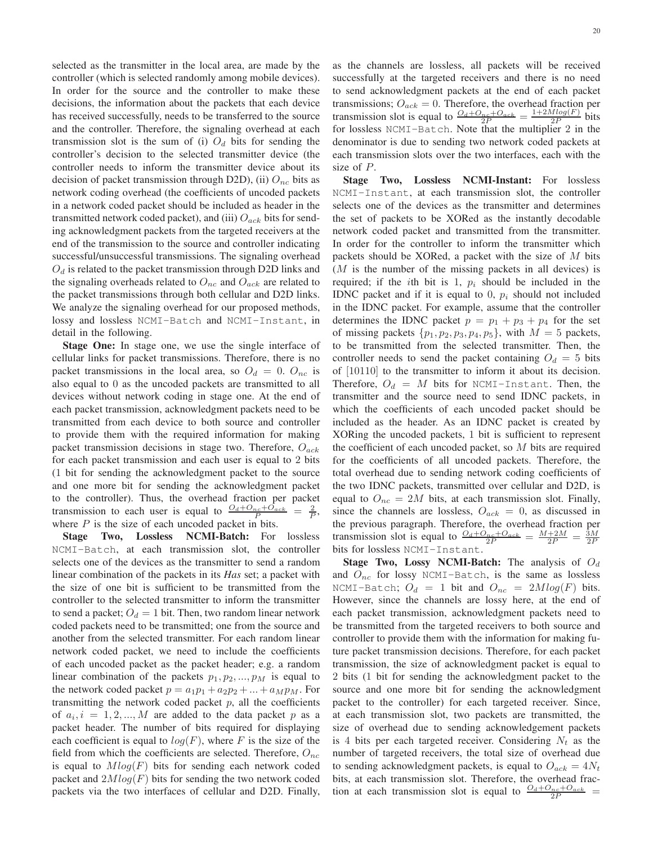selected as the transmitter in the local area, are made by the controller (which is selected randomly among mobile devices). In order for the source and the controller to make these decisions, the information about the packets that each device has received successfully, needs to be transferred to the source and the controller. Therefore, the signaling overhead at each transmission slot is the sum of (i)  $O_d$  bits for sending the controller's decision to the selected transmitter device (the controller needs to inform the transmitter device about its decision of packet transmission through D2D), (ii)  $O_{nc}$  bits as network coding overhead (the coefficients of uncoded packets in a network coded packet should be included as header in the transmitted network coded packet), and (iii)  $O_{ack}$  bits for sending acknowledgment packets from the targeted receivers at the end of the transmission to the source and controller indicating successful/unsuccessful transmissions. The signaling overhead  $O_d$  is related to the packet transmission through D2D links and the signaling overheads related to  $O_{nc}$  and  $O_{ack}$  are related to the packet transmissions through both cellular and D2D links. We analyze the signaling overhead for our proposed methods, lossy and lossless NCMI-Batch and NCMI-Instant, in detail in the following.

Stage One: In stage one, we use the single interface of cellular links for packet transmissions. Therefore, there is no packet transmissions in the local area, so  $O_d = 0$ .  $O_{nc}$  is also equal to 0 as the uncoded packets are transmitted to all devices without network coding in stage one. At the end of each packet transmission, acknowledgment packets need to be transmitted from each device to both source and controller to provide them with the required information for making packet transmission decisions in stage two. Therefore,  $O_{ack}$ for each packet transmission and each user is equal to 2 bits (1 bit for sending the acknowledgment packet to the source and one more bit for sending the acknowledgment packet to the controller). Thus, the overhead fraction per packet transmission to each user is equal to  $\frac{O_d + O_{nc} + O_{ack}}{P} = \frac{2}{P}$ , where  $P$  is the size of each uncoded packet in bits.

Stage Two, Lossless NCMI-Batch: For lossless NCMI-Batch, at each transmission slot, the controller selects one of the devices as the transmitter to send a random linear combination of the packets in its *Has* set; a packet with the size of one bit is sufficient to be transmitted from the controller to the selected transmitter to inform the transmitter to send a packet;  $O_d = 1$  bit. Then, two random linear network coded packets need to be transmitted; one from the source and another from the selected transmitter. For each random linear network coded packet, we need to include the coefficients of each uncoded packet as the packet header; e.g. a random linear combination of the packets  $p_1, p_2, ..., p_M$  is equal to the network coded packet  $p = a_1p_1 + a_2p_2 + ... + a_Mp_M$ . For transmitting the network coded packet  $p$ , all the coefficients of  $a_i, i = 1, 2, ..., M$  are added to the data packet p as a packet header. The number of bits required for displaying each coefficient is equal to  $log(F)$ , where F is the size of the field from which the coefficients are selected. Therefore,  $O_{nc}$ is equal to  $Mlog(F)$  bits for sending each network coded packet and  $2Mlog(F)$  bits for sending the two network coded packets via the two interfaces of cellular and D2D. Finally,

as the channels are lossless, all packets will be received successfully at the targeted receivers and there is no need to send acknowledgment packets at the end of each packet transmissions;  $O_{ack} = 0$ . Therefore, the overhead fraction per transmission slot is equal to  $\frac{O_d + O_{nc} + O_{ack}}{2P} = \frac{1 + 2M log(F)}{2P}$  $\frac{\text{diag}(F)}{2P}$  bits for lossless NCMI-Batch. Note that the multiplier 2 in the denominator is due to sending two network coded packets at each transmission slots over the two interfaces, each with the size of P.

Stage Two, Lossless NCMI-Instant: For lossless NCMI-Instant, at each transmission slot, the controller selects one of the devices as the transmitter and determines the set of packets to be XORed as the instantly decodable network coded packet and transmitted from the transmitter. In order for the controller to inform the transmitter which packets should be XORed, a packet with the size of  $M$  bits  $(M$  is the number of the missing packets in all devices) is required; if the *i*th bit is 1,  $p_i$  should be included in the IDNC packet and if it is equal to 0,  $p_i$  should not included in the IDNC packet. For example, assume that the controller determines the IDNC packet  $p = p_1 + p_3 + p_4$  for the set of missing packets  $\{p_1, p_2, p_3, p_4, p_5\}$ , with  $M = 5$  packets, to be transmitted from the selected transmitter. Then, the controller needs to send the packet containing  $O_d = 5$  bits of [10110] to the transmitter to inform it about its decision. Therefore,  $O_d = M$  bits for NCMI-Instant. Then, the transmitter and the source need to send IDNC packets, in which the coefficients of each uncoded packet should be included as the header. As an IDNC packet is created by XORing the uncoded packets, 1 bit is sufficient to represent the coefficient of each uncoded packet, so  $M$  bits are required for the coefficients of all uncoded packets. Therefore, the total overhead due to sending network coding coefficients of the two IDNC packets, transmitted over cellular and D2D, is equal to  $O_{nc} = 2M$  bits, at each transmission slot. Finally, since the channels are lossless,  $O_{ack} = 0$ , as discussed in the previous paragraph. Therefore, the overhead fraction per transmission slot is equal to  $\frac{O_d + O_{nc} + O_{ack}}{2P} = \frac{M + 2M}{2P} = \frac{3M}{2P}$ bits for lossless NCMI-Instant.

Stage Two, Lossy NCMI-Batch: The analysis of  $O_d$ and  $O_{nc}$  for lossy NCMI-Batch, is the same as lossless NCMI-Batch;  $O_d = 1$  bit and  $O_{nc} = 2Mlog(F)$  bits. However, since the channels are lossy here, at the end of each packet transmission, acknowledgment packets need to be transmitted from the targeted receivers to both source and controller to provide them with the information for making future packet transmission decisions. Therefore, for each packet transmission, the size of acknowledgment packet is equal to 2 bits (1 bit for sending the acknowledgment packet to the source and one more bit for sending the acknowledgment packet to the controller) for each targeted receiver. Since, at each transmission slot, two packets are transmitted, the size of overhead due to sending acknowledgement packets is 4 bits per each targeted receiver. Considering  $N_t$  as the number of targeted receivers, the total size of overhead due to sending acknowledgment packets, is equal to  $O_{ack} = 4N_t$ bits, at each transmission slot. Therefore, the overhead fraction at each transmission slot is equal to  $\frac{O_d + O_{nc} + O_{ack}}{2P}$  =